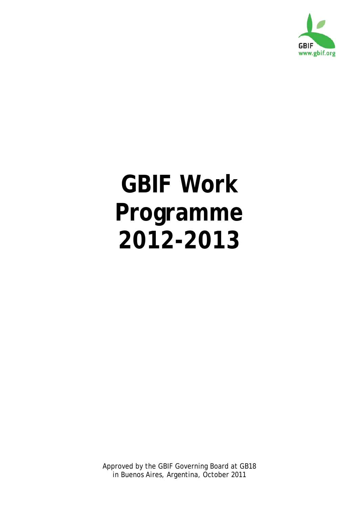

# **GBIF Work Programme 2012-2013**

Approved by the GBIF Governing Board at GB18 in Buenos Aires, Argentina, October 2011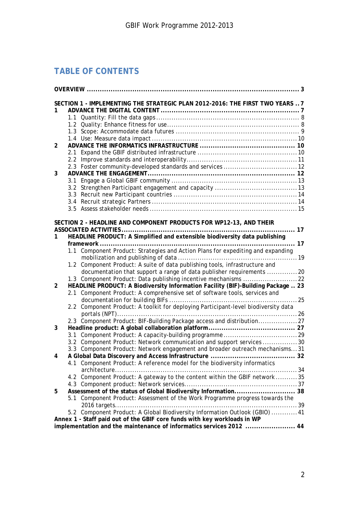# **TABLE OF CONTENTS**

|                |     | SECTION 1 - IMPLEMENTING THE STRATEGIC PLAN 2012-2016: THE FIRST TWO YEARS 7       |  |
|----------------|-----|------------------------------------------------------------------------------------|--|
| 1              |     |                                                                                    |  |
|                |     |                                                                                    |  |
|                |     |                                                                                    |  |
|                |     |                                                                                    |  |
|                |     |                                                                                    |  |
| 2              |     |                                                                                    |  |
|                |     |                                                                                    |  |
|                |     |                                                                                    |  |
|                |     |                                                                                    |  |
| 3              |     |                                                                                    |  |
|                |     |                                                                                    |  |
|                |     |                                                                                    |  |
|                |     |                                                                                    |  |
|                |     |                                                                                    |  |
|                |     |                                                                                    |  |
|                |     | SECTION 2 - HEADLINE AND COMPONENT PRODUCTS FOR WP12-13, AND THEIR                 |  |
|                |     |                                                                                    |  |
| 1              |     | HEADLINE PRODUCT: A Simplified and extensible biodiversity data publishing         |  |
|                |     |                                                                                    |  |
|                |     | 1.1 Component Product: Strategies and Action Plans for expediting and expanding    |  |
|                |     |                                                                                    |  |
|                |     | 1.2 Component Product: A suite of data publishing tools, infrastructure and        |  |
|                |     | documentation that support a range of data publisher requirements 20               |  |
|                |     |                                                                                    |  |
| $\overline{2}$ |     | HEADLINE PRODUCT: A Biodiversity Information Facility (BIF)-Building Package 23    |  |
|                |     | 2.1 Component Product: A comprehensive set of software tools, services and         |  |
|                |     |                                                                                    |  |
|                |     | 2.2 Component Product: A toolkit for deploying Participant-level biodiversity data |  |
|                |     |                                                                                    |  |
|                |     | 2.3 Component Product: BIF-Building Package access and distribution27              |  |
| 3              |     |                                                                                    |  |
|                | 3.1 |                                                                                    |  |
|                |     | 3.2 Component Product: Network communication and support services 30               |  |
|                |     | 3.3 Component Product: Network engagement and broader outreach mechanisms31        |  |
| 4              |     |                                                                                    |  |
|                |     | 4.1 Component Product: A reference model for the biodiversity informatics          |  |
|                |     |                                                                                    |  |
|                |     | 4.2 Component Product: A gateway to the content within the GBIF network35          |  |
|                |     |                                                                                    |  |
| 5              |     | Assessment of the status of Global Biodiversity Information 38                     |  |
|                | 5.1 | Component Product: Assessment of the Work Programme progress towards the           |  |
|                |     |                                                                                    |  |
|                |     | 5.2 Component Product: A Global Biodiversity Information Outlook (GBIO)  41        |  |
|                |     | Annex 1 - Staff paid out of the GBIF core funds with key workloads in WP           |  |
|                |     | implementation and the maintenance of informatics services 2012  44                |  |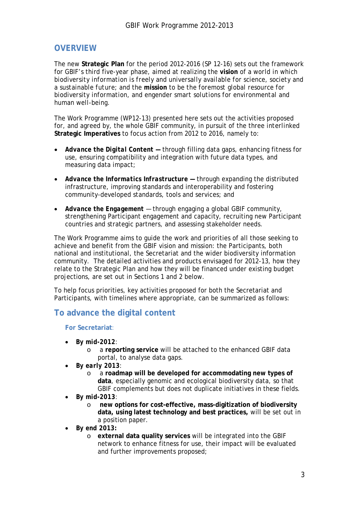# <span id="page-2-0"></span>**OVERVIEW**

The new **Strategic Plan** for the period 2012-2016 (SP 12-16) sets out the framework for GBIF's third five-year phase, aimed at realizing the **vision** of *a world in which biodiversity information is freely and universally available for science, society and a sustainable future*; and the **mission** to be *the foremost global resource for biodiversity information, and engender smart solutions for environmental and human well-being*.

The Work Programme (WP12-13) presented here sets out the activities proposed for, and agreed by, the whole GBIF community, in pursuit of the three *interlinked* **Strategic Imperatives** to focus action from 2012 to 2016, namely to:

- *Advance the Digital Content —* through filling data gaps, enhancing fitness for use, ensuring compatibility and integration with future data types, and measuring data impact;
- *Advance the Informatics Infrastructure —* through expanding the distributed infrastructure, improving standards and interoperability and fostering community-developed standards, tools and services; and
- *Advance the Engagement* through engaging a global GBIF community, strengthening Participant engagement and capacity, recruiting new Participant countries and strategic partners, and assessing stakeholder needs.

The Work Programme aims to guide the work and priorities of all those seeking to achieve and benefit from the GBIF vision and mission: the Participants, both national and institutional, the Secretariat and the wider biodiversity information community. The detailed activities and products envisaged for 2012-13, how they relate to the Strategic Plan and how they will be financed under existing budget projections, are set out in Sections 1 and 2 below.

To help focus priorities, key activities proposed for both the Secretariat and Participants, with timelines where appropriate, can be summarized as follows:

# **To advance the digital content**

**For Secretariat**:

- *By mid-2012*:
	- o a **reporting service** will be attached to the enhanced GBIF data portal, to analyse data gaps.
- *By early 2013*:
	- o a **roadmap will be developed for accommodating new types of data**, especially genomic and ecological biodiversity data, so that GBIF complements but does not duplicate initiatives in these fields.
- *By mid-2013*:
	- o **new options for cost-effective, mass-digitization of biodiversity data, using latest technology and best practices,** will be set out in a position paper.
- *By end 2013***:**
	- o **external data quality services** will be integrated into the GBIF network to enhance fitness for use, their impact will be evaluated and further improvements proposed;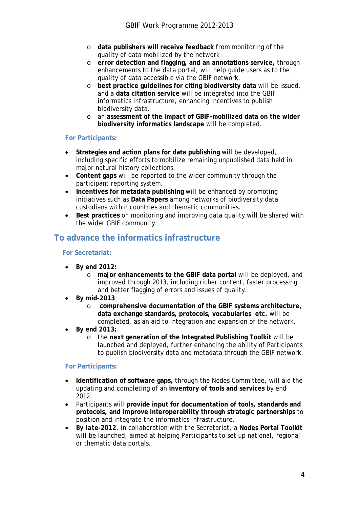- o **data publishers will receive feedback** from monitoring of the quality of data mobilized by the network
- o **error detection and flagging, and an annotations service,** through enhancements to the data portal, will help guide users as to the quality of data accessible via the GBIF network.
- o **best practice guidelines for citing biodiversity data** will be issued, and a **data citation service** will be integrated into the GBIF informatics infrastructure, enhancing incentives to publish biodiversity data.
- o an **assessment of the impact of GBIF-mobilized data on the wider biodiversity informatics landscape** will be completed.

#### **For Participants:**

- **Strategies and action plans for data publishing** will be developed, including specific efforts to mobilize remaining unpublished data held in major natural history collections.
- **Content gaps** will be reported to the wider community through the participant reporting system.
- **Incentives for metadata publishing** will be enhanced by promoting initiatives such as **Data Papers** among networks of biodiversity data custodians within countries and thematic communities.
- **Best practices** on monitoring and improving data quality will be shared with the wider GBIF community.

# **To advance the informatics infrastructure**

#### **For Secretariat:**

- *By end 2012:*
	- o **major enhancements to the GBIF data portal** will be deployed, and improved through 2013, including richer content, faster processing and better flagging of errors and issues of quality.
- **By mid-2013**:
	- o **comprehensive documentation of the GBIF systems architecture, data exchange standards, protocols, vocabularies etc.** will be completed, as an aid to integration and expansion of the network.
- *By end 2013:*
	- o the **next generation of the Integrated Publishing Toolkit** will be launched and deployed, further enhancing the ability of Participants to publish biodiversity data and metadata through the GBIF network.

#### **For Participants:**

- **Identification of software gaps,** through the Nodes Committee, will aid the updating and completing of an **inventory of tools and services** by end 2012.
- Participants will **provide input for documentation of tools, standards and protocols, and improve interoperability through strategic partnerships** to position and integrate the informatics infrastructure.
- *By late-2012*, in collaboration with the Secretariat, a **Nodes Portal Toolkit** will be launched, aimed at helping Participants to set up national, regional or thematic data portals.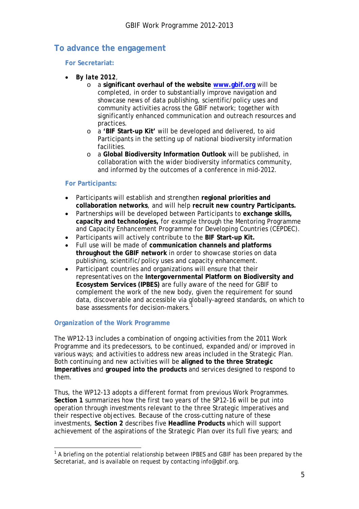# **To advance the engagement**

#### **For Secretariat:**

- *By late 2012*,
	- o a **significant overhaul of the website [www.gbif.org](http://www.gbif.org/)** will be completed, in order to substantially improve navigation and showcase news of data publishing, scientific/policy uses and community activities across the GBIF network; together with significantly enhanced communication and outreach resources and practices.
	- o a **'BIF Start-up Kit'** will be developed and delivered, to aid Participants in the setting up of national biodiversity information facilities.
	- o a **Global Biodiversity Information Outlook** will be published, in collaboration with the wider biodiversity informatics community, and informed by the outcomes of a conference in mid-2012.

#### **For Participants:**

- Participants will establish and strengthen **regional priorities and collaboration networks**, and will help **recruit new country Participants.**
- Partnerships will be developed between Participants to **exchange skills, capacity and technologies,** for example through the Mentoring Programme and Capacity Enhancement Programme for Developing Countries (CEPDEC).
- Participants will actively contribute to the **BIF Start-up Kit.**
- Full use will be made of **communication channels and platforms throughout the GBIF network** in order to showcase stories on data publishing, scientific/policy uses and capacity enhancement.
- Participant countries and organizations will ensure that their representatives on the **Intergovernmental Platform on Biodiversity and Ecosystem Services (IPBES)** are fully aware of the need for GBIF to complement the work of the new body, given the requirement for sound data, discoverable and accessible via globally-agreed standards, on which to base assessments for decision-makers.

#### **Organization of the Work Programme**

The WP12-13 includes a combination of ongoing activities from the 2011 Work Programme and its predecessors, to be continued, expanded and/or improved in various ways; and activities to address new areas included in the Strategic Plan. Both continuing and new activities will be **aligned to the three Strategic Imperatives** and **grouped into the products** and services designed to respond to them.

Thus, the WP12-13 adopts a different format from previous Work Programmes. **Section 1** summarizes how the first two years of the SP12-16 will be put into operation through investments relevant to the three Strategic Imperatives and their respective objectives. Because of the cross-cutting nature of these investments, **Section 2** describes five **Headline Products** which will support achievement of the aspirations of the Strategic Plan over its full five years; and

<span id="page-4-0"></span> $\overline{a}$  $1$  A briefing on the potential relationship between IPBES and GBIF has been prepared by the Secretariat, and is available on request by contacting info@gbif.org.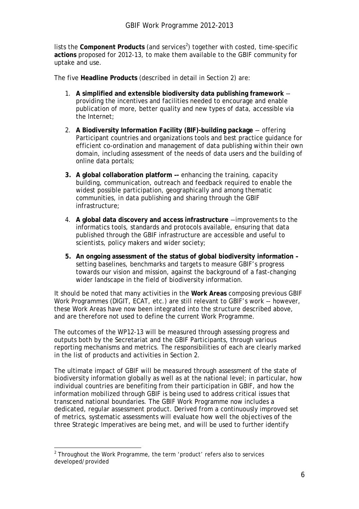lists the Component Products (and services<sup>[2](#page-5-0)</sup>) together with costed, time-specific **actions** proposed for 2012-13, to make them available to the GBIF community for uptake and use.

The five **Headline Products** (described in detail in Section 2) are:

- 1. **A simplified and extensible biodiversity data publishing framework** providing the incentives and facilities needed to encourage and enable publication of more, better quality and new types of data, accessible via the Internet;
- 2. **A Biodiversity Information Facility (BIF)-building package** –- offering Participant countries and organizations tools and best practice guidance for efficient co-ordination and management of data publishing within their own domain, including assessment of the needs of data users and the building of online data portals;
- **3. A global collaboration platform –-** enhancing the training, capacity building, communication, outreach and feedback required to enable the widest possible participation, geographically and among thematic communities, in data publishing and sharing through the GBIF infrastructure;
- 4. **A global data discovery and access infrastructure** –-improvements to the informatics tools, standards and protocols available, ensuring that data published through the GBIF infrastructure are accessible and useful to scientists, policy makers and wider society;
- **5. An ongoing assessment of the status of global biodiversity information –** setting baselines, benchmarks and targets to measure GBIF's progress towards our vision and mission, against the background of a fast-changing wider landscape in the field of biodiversity information.

It should be noted that many activities in the **Work Areas** composing previous GBIF Work Programmes (DIGIT, ECAT, etc.) are still relevant to GBIF's work –- however, these Work Areas have now been integrated into the structure described above, and are therefore not used to define the current Work Programme.

The outcomes of the WP12-13 will be measured through assessing progress and outputs both by the Secretariat and the GBIF Participants, through various reporting mechanisms and metrics. The responsibilities of each are clearly marked in the list of products and activities in Section 2.

The ultimate impact of GBIF will be measured through assessment of the state of biodiversity information globally as well as at the national level; in particular, how individual countries are benefiting from their participation in GBIF, and how the information mobilized through GBIF is being used to address critical issues that transcend national boundaries. The GBIF Work Programme now includes a dedicated, regular assessment product. Derived from a continuously improved set of metrics, systematic assessments will evaluate how well the objectives of the three Strategic Imperatives are being met, and will be used to further identify

<span id="page-5-0"></span> $\overline{a}$ <sup>2</sup> Throughout the Work Programme, the term 'product' refers also to services developed/provided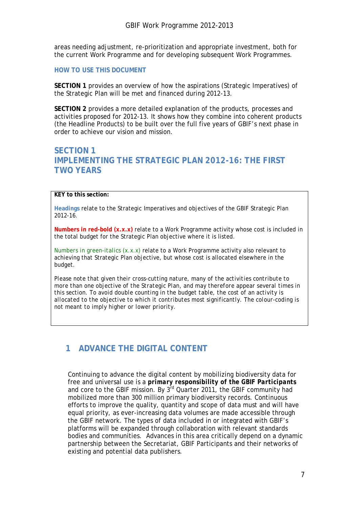areas needing adjustment, re-prioritization and appropriate investment, both for the current Work Programme and for developing subsequent Work Programmes.

#### **HOW TO USE THIS DOCUMENT**

**SECTION 1** provides an overview of how the aspirations (Strategic Imperatives) of the Strategic Plan will be met and financed during 2012-13.

**SECTION 2** provides a more detailed explanation of the products, processes and activities proposed for 2012-13. It shows how they combine into coherent products (the Headline Products) to be built over the full five years of GBIF's next phase in order to achieve our vision and mission.

## **SECTION 1 IMPLEMENTING THE STRATEGIC PLAN 2012-16: THE FIRST TWO YEARS**

#### **KEY to this section:**

**Headings** relate to the Strategic Imperatives and objectives of the GBIF Strategic Plan 2012-16.

**Numbers in red-bold (x.x.x)** relate to a Work Programme activity whose cost is included in the total budget for the Strategic Plan objective where it is listed.

*Numbers in green-italics (x.x.x)* relate to a Work Programme activity also relevant to achieving that Strategic Plan objective, but whose cost is allocated elsewhere in the budget.

*Please note that given their cross-cutting nature, many of the activities contribute to more than one objective of the Strategic Plan, and may therefore appear several times in this section. To avoid double counting in the budget table, the cost of an activity is allocated to the objective to which it contributes most significantly. The colour-coding is not meant to imply higher or lower priority.*

# <span id="page-6-0"></span>**1 ADVANCE THE DIGITAL CONTENT**

Continuing to advance the digital content by mobilizing biodiversity data for free and universal use *is a primary responsibility of the GBIF Participants* and core to the GBIF mission. By  $3^{rd}$  Quarter 2011, the GBIF community had mobilized more than 300 million primary biodiversity records. Continuous efforts to improve the quality, quantity and scope of data must and will have equal priority, as ever-increasing data volumes are made accessible through the GBIF network. The types of data included in or integrated with GBIF's platforms will be expanded through collaboration with relevant standards bodies and communities. Advances in this area critically depend on a dynamic partnership between the Secretariat, GBIF Participants and their networks of existing and potential data publishers.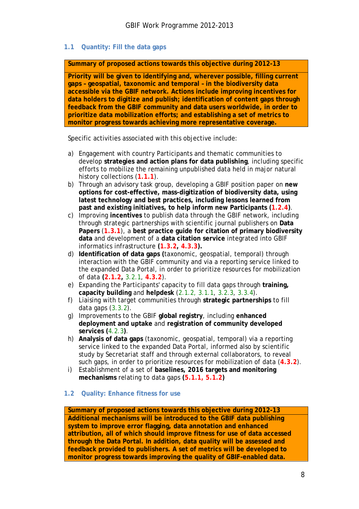#### <span id="page-7-0"></span>**1.1 Quantity: Fill the data gaps**

**Summary of proposed actions towards this objective during 2012-13**

**Priority will be given to identifying and, wherever possible, filling current gaps – geospatial, taxonomic and temporal – in the biodiversity data accessible via the GBIF network. Actions include improving incentives for data holders to digitize and publish; identification of content gaps through feedback from the GBIF community and data users worldwide, in order to prioritize data mobilization efforts; and establishing a set of metrics to monitor progress towards achieving more representative coverage.**

Specific activities associated with this objective include:

- a) Engagement with country Participants and thematic communities to develop **strategies and action plans for data publishing**, including specific efforts to mobilize the remaining unpublished data held in major natural history collections (**1.1.1**).
- b) Through an advisory task group, developing a GBIF position paper on **new options for cost-effective, mass-digitization of biodiversity data, using latest technology and best practices, including lessons learned from past and existing initiatives, to help inform new Participants (1.2.4)**.
- c) Improving **incentives** to publish data through the GBIF network, including through strategic partnerships with scientific journal publishers on **Data Papers** (**1.3.1**), a **best practice guide for citation of primary biodiversity data** and development of a **data citation service** integrated into GBIF informatics infrastructure **(1.3.2, 4.3.3).**
- d) **Identification of data gaps (**taxonomic, geospatial, temporal) through interaction with the GBIF community and via a reporting service linked to the expanded Data Portal, in order to prioritize resources for mobilization of data **(2.1.2,** *3.2.1*, **4.3.2**).
- e) Expanding the Participants' capacity to fill data gaps through **training, capacity building** and **helpdesk** (*2.1.2, 3.1.1, 3.2.3, 3.3.4*).
- f) Liaising with target communities through **strategic partnerships** to fill data gaps (*3.3.2*).
- g) Improvements to the GBIF **global registry**, including **enhanced deployment and uptake** and **registration of community developed services (***4.2.3***)**.
- h) **Analysis of data gaps** (taxonomic, geospatial, temporal) via a reporting service linked to the expanded Data Portal, informed also by scientific study by Secretariat staff and through external collaborators, to reveal such gaps, in order to prioritize resources for mobilization of data (**4.3.2**).
- i) Establishment of a set of **baselines, 2016 targets and monitoring mechanisms** relating to data gaps **(5.1.1, 5.1.2)**

#### <span id="page-7-1"></span>**1.2 Quality: Enhance fitness for use**

**Summary of proposed actions towards this objective during 2012-13 Additional mechanisms will be introduced to the GBIF data publishing system to improve error flagging, data annotation and enhanced attribution, all of which should improve fitness for use of data accessed through the Data Portal. In addition, data quality will be assessed and feedback provided to publishers. A set of metrics will be developed to monitor progress towards improving the quality of GBIF-enabled data.**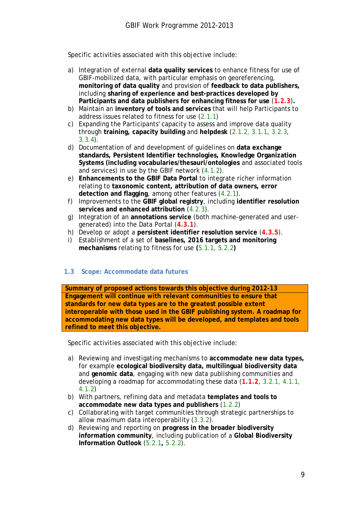Specific activities associated with this objective include:

- a) Integration of external **data quality services** to enhance fitness for use of GBIF-mobilized data, with particular emphasis on georeferencing, **monitoring of data quality** and provision of **feedback to data publishers,**  including **sharing of experience and best-practices developed by Participants and data publishers for enhancing fitness for use** (**1.2.3**)**.**
- b) Maintain an **inventory of tools and services** that will help Participants to address issues related to fitness for use (*2.1.1*)
- c) Expanding the Participants' capacity to assess and improve data quality through **training, capacity building** and **helpdesk** (*2.1.2, 3.1.1, 3.2.3, 3.3.4*).
- d) Documentation of and development of guidelines on **data exchange standards, Persistent Identifier technologies, Knowledge Organization Systems (including vocabularies/thesauri/ontologies** and associated tools and services) in use by the GBIF network (*4.1.2*).
- e) **Enhancements to the GBIF Data Portal** to integrate richer information relating to **taxonomic content, attribution of data owners, error detection and flagging**, among other features (*4.2.1*).
- f) Improvements to the **GBIF global registry**, including **identifier resolution services and enhanced attribution** (*4.2.3*).
- g) Integration of an **annotations service** (both machine-generated and usergenerated) into the Data Portal (**4.3.1**).
- h) Develop or adopt a **persistent identifier resolution service** (**4.3.5**).
- i) Establishment of a set of **baselines, 2016 targets and monitoring mechanisms** relating to fitness for use **(***5.1.1, 5.2.2***)**

#### <span id="page-8-0"></span>**1.3 Scope: Accommodate data futures**

**Summary of proposed actions towards this objective during 2012-13 Engagement will continue with relevant communities to ensure that standards for new data types are to the greatest possible extent interoperable with those used in the GBIF publishing system. A roadmap for accommodating new data types will be developed, and templates and tools refined to meet this objective.**

Specific activities associated with this objective include:

- a) Reviewing and investigating mechanisms to **accommodate new data types,**  for example **ecological biodiversity data, multilingual biodiversity data**  and **genomic data**, engaging with new data publishing communities and developing a roadmap for accommodating these data (**1.1.2**, *3.2.1, 4.1.1, 4.1.2*)
- b) With partners, refining data and metadata **templates and tools to accommodate new data types and publishers** (*1.2.2*)
- c) Collaborating with target communities through strategic partnerships to allow maximum data interoperability (*3.3.2*).
- d) Reviewing and reporting on **progress in the broader biodiversity information community**, including publication of a **Global Biodiversity Information Outlook** (*5.2.1***,** *5.2.2*).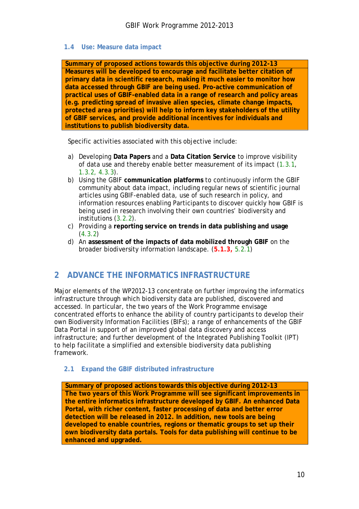#### <span id="page-9-0"></span>**1.4 Use: Measure data impact**

**Summary of proposed actions towards this objective during 2012-13 Measures will be developed to encourage and facilitate better citation of primary data in scientific research, making it much easier to monitor how data accessed through GBIF are being used. Pro-active communication of practical uses of GBIF-enabled data in a range of research and policy areas (e.g. predicting spread of invasive alien species, climate change impacts, protected area priorities) will help to inform key stakeholders of the utility of GBIF services, and provide additional incentives for individuals and institutions to publish biodiversity data.**

Specific activities associated with this objective include:

- a) Developing **Data Papers** and a **Data Citation Service** to improve visibility of data use and thereby enable better measurement of its impact (*1.3.1*, *1.3.2, 4.3.3*).
- b) Using the GBIF **communication platforms** to continuously inform the GBIF community about data impact, including regular news of scientific journal articles using GBIF-enabled data, use of such research in policy, and information resources enabling Participants to discover quickly how GBIF is being used in research involving their own countries' biodiversity and institutions (*3.2.2*).
- c) Providing a **reporting service on trends in data publishing and usage** (*4.3.2*)
- d) An **assessment of the impacts of data mobilized through GBIF** on the broader biodiversity information landscape. (**5.1.3,** *5.2.1*)

# <span id="page-9-1"></span>**2 ADVANCE THE INFORMATICS INFRASTRUCTURE**

Major elements of the WP2012-13 concentrate on further improving the informatics infrastructure through which biodiversity data are published, discovered and accessed. In particular, the two years of the Work Programme envisage concentrated efforts to enhance the ability of country participants to develop their own Biodiversity Information Facilities (BIFs); a range of enhancements of the GBIF Data Portal in support of an improved global data discovery and access infrastructure; and further development of the Integrated Publishing Toolkit (IPT) to help facilitate a simplified and extensible biodiversity data publishing framework.

#### <span id="page-9-2"></span>**2.1 Expand the GBIF distributed infrastructure**

**Summary of proposed actions towards this objective during 2012-13 The two years of this Work Programme will see significant improvements in the entire informatics infrastructure developed by GBIF. An enhanced Data Portal, with richer content, faster processing of data and better error detection will be released in 2012. In addition, new tools are being developed to enable countries, regions or thematic groups to set up their own biodiversity data portals. Tools for data publishing will continue to be enhanced and upgraded.**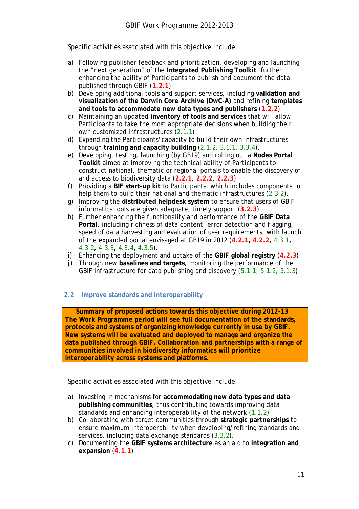Specific activities associated with this objective include:

- a) Following publisher feedback and prioritization, developing and launching the "next generation" of the **Integrated Publishing Toolkit**, further enhancing the ability of Participants to publish and document the data published through GBIF (**1.2.1**)
- b) Developing additional tools and support services, including **validation and visualization of the Darwin Core Archive (DwC-A)** and refining **templates and tools to accommodate new data types and publishers** (**1.2.2**)
- c) Maintaining an updated **inventory of tools and services** that will allow Participants to take the most appropriate decisions when building their own customized infrastructures (*2.1.1*)
- d) Expanding the Participants' capacity to build their own infrastructures through **training and capacity building** (*2.1.2, 3.1.1, 3.3.4*).
- e) Developing, testing, launching (by GB19) and rolling out a **Nodes Portal Toolkit** aimed at improving the technical ability of Participants to construct national, thematic or regional portals to enable the discovery of and access to biodiversity data (**2.2.1**, **2.2.2**, **2.2.3**)
- f) Providing a **BIF start-up kit** to Participants, which includes components to help them to build their national and thematic infrastructures (*2.3.2*).
- g) Improving the **distributed helpdesk system** to ensure that users of GBIF informatics tools are given adequate, timely support (**3.2.3**).
- h) Further enhancing the functionality and performance of the **GBIF Data Portal**, including richness of data content, error detection and flagging, speed of data harvesting and evaluation of user requirements; with launch of the expanded portal envisaged at GB19 in 2012 (**4.2.1, 4.2.2,** *4.3.1***,**  *4.3.2***,** *4.3.3***,** *4.3.4***,** *4.3.5*).
- i) Enhancing the deployment and uptake of the **GBIF global registry** (**4.2.3**)
- j) Through new **baselines and targets**, monitoring the performance of the GBIF infrastructure for data publishing and discovery (*5.1.1, 5.1.2, 5.1.3*)

#### <span id="page-10-0"></span>**2.2 Improve standards and interoperability**

**Summary of proposed actions towards this objective during 2012-13 The Work Programme period will see full documentation of the standards, protocols and systems of organizing knowledge currently in use by GBIF. New systems will be evaluated and deployed to manage and organize the data published through GBIF. Collaboration and partnerships with a range of communities involved in biodiversity informatics will prioritize interoperability across systems and platforms.**

Specific activities associated with this objective include:

- a) Investing in mechanisms for **accommodating new data types and data publishing communities**, thus contributing towards improving data standards and enhancing interoperability of the network (*1.1.2*)
- b) Collaborating with target communities through **strategic partnerships** to ensure maximum interoperability when developing/refining standards and services, including data exchange standards (*3.3.2*).
- c) Documenting the **GBIF systems architecture** as an aid to **integration and expansion** (**4.1.1**)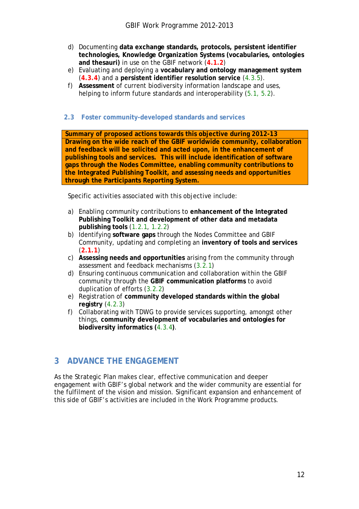- d) Documenting **data exchange standards, protocols, persistent identifier technologies, Knowledge Organization Systems (vocabularies, ontologies and thesauri)** in use on the GBIF network (**4.1.2**)
- e) Evaluating and deploying a **vocabulary and ontology management system**  (**4.3.4**) and a **persistent identifier resolution service** (*4.3.5*).
- f) **Assessment** of current biodiversity information landscape and uses, helping to inform future standards and interoperability (*5.1, 5.2*).

#### <span id="page-11-0"></span>**2.3 Foster community-developed standards and services**

**Summary of proposed actions towards this objective during 2012-13 Drawing on the wide reach of the GBIF worldwide community, collaboration and feedback will be solicited and acted upon, in the enhancement of publishing tools and services. This will include identification of software gaps through the Nodes Committee, enabling community contributions to the Integrated Publishing Toolkit, and assessing needs and opportunities through the Participants Reporting System.**

Specific activities associated with this objective include:

- a) Enabling community contributions to **enhancement of the Integrated Publishing Toolkit and development of other data and metadata publishing tools** (*1.2.1*, *1.2.2*)
- b) Identifying **software gaps** through the Nodes Committee and GBIF Community, updating and completing an **inventory of tools and services** (**2.1.1**)
- c) **Assessing needs and opportunities** arising from the community through assessment and feedback mechanisms (*3.2.1*)
- d) Ensuring continuous communication and collaboration within the GBIF community through the **GBIF communication platforms** to avoid duplication of efforts (*3.2.2*)
- e) Registration of **community developed standards within the global registry** (*4.2.3*)
- f) Collaborating with TDWG to provide services supporting, amongst other things, **community development of vocabularies and ontologies for biodiversity informatics (***4.3.4***)**.

## <span id="page-11-1"></span>**3 ADVANCE THE ENGAGEMENT**

As the Strategic Plan makes clear, effective communication and deeper engagement with GBIF's global network and the wider community are essential for the fulfilment of the vision and mission. Significant expansion and enhancement of this side of GBIF's activities are included in the Work Programme products.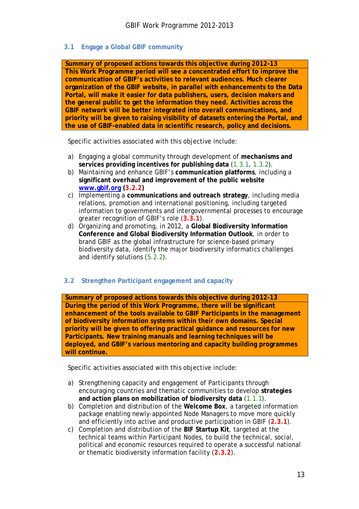#### <span id="page-12-0"></span>**3.1 Engage a Global GBIF community**

**Summary of proposed actions towards this objective during 2012-13 This Work Programme period will see a concentrated effort to improve the communication of GBIF's activities to relevant audiences. Much clearer organization of the GBIF website, in parallel with enhancements to the Data Portal, will make it easier for data publishers, users, decision makers and the general public to get the information they need. Activities across the GBIF network will be better integrated into overall communications, and priority will be given to raising visibility of datasets entering the Portal, and the use of GBIF-enabled data in scientific research, policy and decisions.** 

Specific activities associated with this objective include:

- a) Engaging a global community through development of **mechanisms and services providing incentives for publishing data** (*1.3.1*, *1.3.2*).
- b) Maintaining and enhance GBIF's **communication platforms**, including a **significant overhaul and improvement of the public website [www.gbif.org](http://www.gbif.org/) (3.2.2)**
- c) Implementing a **communications and outreach strategy**, including media relations, promotion and international positioning, including targeted information to governments and intergovernmental processes to encourage greater recognition of GBIF's role (**3.3.1**).
- d) Organizing and promoting, in 2012, a **Global Biodiversity Information Conference and Global Biodiversity Information Outlook**, in order to brand GBIF as the global infrastructure for science-based primary biodiversity data, identify the major biodiversity informatics challenges and identify solutions (*5.2.2*).

#### <span id="page-12-1"></span>**3.2 Strengthen Participant engagement and capacity**

**Summary of proposed actions towards this objective during 2012-13 During the period of this Work Programme, there will be significant enhancement of the tools available to GBIF Participants in the management of biodiversity information systems within their own domains. Special priority will be given to offering practical guidance and resources for new Participants. New training manuals and learning techniques will be deployed, and GBIF's various mentoring and capacity building programmes will continue.**

Specific activities associated with this objective include:

- a) Strengthening capacity and engagement of Participants through encouraging countries and thematic communities to develop **strategies and action plans on mobilization of biodiversity data** (*1.1.1*).
- b) Completion and distribution of the **Welcome Box**, a targeted information package enabling newly-appointed Node Managers to move more quickly and efficiently into active and productive participation in GBIF (**2.3.1**).
- c) Completion and distribution of the **BIF Startup Kit**, targeted at the technical teams within Participant Nodes, to build the technical, social, political and economic resources required to operate a successful national or thematic biodiversity information facility (**2.3.2**).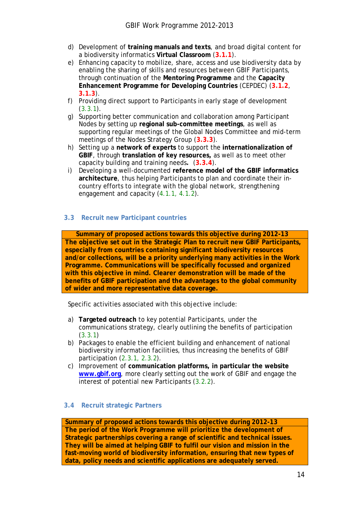- d) Development of **training manuals and texts**, and broad digital content for a biodiversity informatics **Virtual Classroom** (**3.1.1**).
- e) Enhancing capacity to mobilize, share, access and use biodiversity data by enabling the sharing of skills and resources between GBIF Participants, through continuation of the **Mentoring Programme** and the **Capacity Enhancement Programme for Developing Countries** (CEPDEC) (**3.1.2**, **3.1.3**).
- f) Providing direct support to Participants in early stage of development (*3.3.1*).
- g) Supporting better communication and collaboration among Participant Nodes by setting up **regional sub-committee meetings**, as well as supporting regular meetings of the Global Nodes Committee and mid-term meetings of the Nodes Strategy Group (**3.3.3**).
- h) Setting up a **network of experts** to support the **internationalization of GBIF**, through **translation of key resources,** as well as to meet other capacity building and training needs**.** (**3.3.4**).
- i) Developing a well-documented **reference model of the GBIF informatics architecture**, thus helping Participants to plan and coordinate their incountry efforts to integrate with the global network, strengthening engagement and capacity (*4.1.1, 4.1.2*).

#### <span id="page-13-0"></span>**3.3 Recruit new Participant countries**

**Summary of proposed actions towards this objective during 2012-13 The objective set out in the Strategic Plan to recruit new GBIF Participants, especially from countries containing significant biodiversity resources and/or collections, will be a priority underlying many activities in the Work Programme. Communications will be specifically focussed and organized with this objective in mind. Clearer demonstration will be made of the benefits of GBIF participation and the advantages to the global community of wider and more representative data coverage.**

Specific activities associated with this objective include:

- a) **Targeted outreach** to key potential Participants, under the communications strategy, clearly outlining the benefits of participation (*3.3.1*)
- b) Packages to enable the efficient building and enhancement of national biodiversity information facilities, thus increasing the benefits of GBIF participation (*2.3.1, 2.3.2*).
- c) Improvement of **communication platforms, in particular the website [www.gbif.org](http://www.gbif.org/)**, more clearly setting out the work of GBIF and engage the interest of potential new Participants (*3.2.2*).

#### <span id="page-13-1"></span>**3.4 Recruit strategic Partners**

#### **Summary of proposed actions towards this objective during 2012-13**

**The period of the Work Programme will prioritize the development of Strategic partnerships covering a range of scientific and technical issues. They will be aimed at helping GBIF to fulfil our vision and mission in the fast-moving world of biodiversity information, ensuring that new types of data, policy needs and scientific applications are adequately served.**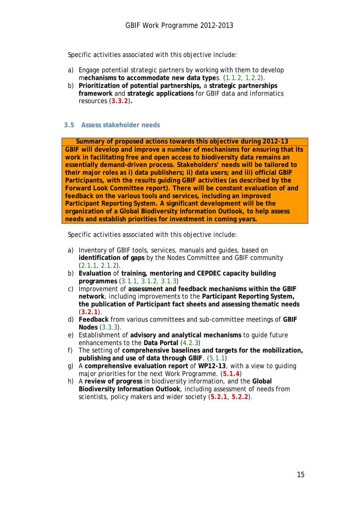Specific activities associated with this objective include:

- a) Engage potential strategic partners by working with them to develop m**echanisms to accommodate new data type**s. (*1.1.2, 1.2.2*).
- b) **Prioritization of potential partnerships,** a **strategic partnerships framework** and **strategic applications** for GBIF data and informatics resources (**3.3.2**)**.**

#### <span id="page-14-0"></span>**3.5 Assess stakeholder needs**

**Summary of proposed actions towards this objective during 2012-13 GBIF will develop and improve a number of mechanisms for ensuring that its work in facilitating free and open access to biodiversity data remains an essentially demand-driven process. Stakeholders' needs will be tailored to their major roles as i) data publishers; ii) data users; and iii) official GBIF Participants, with the results guiding GBIF activities (as described by the Forward Look Committee report). There will be constant evaluation of and feedback on the various tools and services, including an improved Participant Reporting System. A significant development will be the organization of a Global Biodiversity Information Outlook, to help assess needs and establish priorities for investment in coming years.**

Specific activities associated with this objective include:

- a) Inventory of GBIF tools, services, manuals and guides, based on **identification of gaps** by the Nodes Committee and GBIF community (*2.1.1, 2.1.2*).
- b) **Evaluation** of **training, mentoring and CEPDEC capacity building programmes** (*3.1.1, 3.1.2, 3.1.3*)
- c) Improvement of **assessment and feedback mechanisms within the GBIF network**, including improvements to the **Participant Reporting System, the publication of Participant fact sheets and assessing thematic needs** (**3.2.1**).
- d) **Feedback** from various committees and sub-committee meetings of **GBIF Nodes** (*3.3.3*).
- e) Establishment of **advisory and analytical mechanisms** to guide future enhancements to the **Data Portal** (*4.2.3*)
- f) The setting of **comprehensive baselines and targets for the mobilization, publishing and use of data through GBIF**. (*5.1.1*)
- g) A **comprehensive evaluation report** of **WP12-13**, with a view to guiding major priorities for the next Work Programme. (**5.1.4**)
- h) A **review of progress** in biodiversity information, and the **Global Biodiversity Information Outlook**, including assessment of needs from scientists, policy makers and wider society (**5.2.1**, **5.2.2**).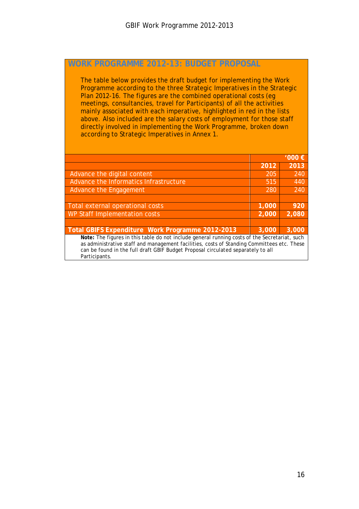## **WORK PROGRAMME 2012-13: BUDGET PROPOSAL**

The table below provides the draft budget for implementing the Work Programme according to the three Strategic Imperatives in the Strategic Plan 2012-16. The figures are the combined operational costs (eg meetings, consultancies, travel for Participants) of all the activities mainly associated with each imperative, highlighted in red in the lists above. Also included are the salary costs of employment for those staff directly involved in implementing the Work Programme, broken down according to Strategic Imperatives in Annex 1.

|                                                                                               |       | 1000 € |  |  |  |  |  |  |  |
|-----------------------------------------------------------------------------------------------|-------|--------|--|--|--|--|--|--|--|
|                                                                                               | 2012  | 2013   |  |  |  |  |  |  |  |
| Advance the digital content                                                                   | 205   | 240    |  |  |  |  |  |  |  |
| Advance the Informatics Infrastructure                                                        | 515   | 440    |  |  |  |  |  |  |  |
| Advance the Engagement                                                                        | 280   | 240    |  |  |  |  |  |  |  |
|                                                                                               |       |        |  |  |  |  |  |  |  |
| Total external operational costs                                                              | 1,000 | 920    |  |  |  |  |  |  |  |
| WP Staff Implementation costs                                                                 | 2,000 | 2,080  |  |  |  |  |  |  |  |
|                                                                                               |       |        |  |  |  |  |  |  |  |
| Total GBIFS Expenditure Work Programme 2012-2013                                              | 3,000 | 3,000  |  |  |  |  |  |  |  |
| Note: The figures in this table do not include general running costs of the Secretariat, such |       |        |  |  |  |  |  |  |  |
| as administrative staff and management facilities, costs of Standing Committees etc. These    |       |        |  |  |  |  |  |  |  |
| can be found in the full draft GBIF Budget Proposal circulated separately to all              |       |        |  |  |  |  |  |  |  |
| Participants.                                                                                 |       |        |  |  |  |  |  |  |  |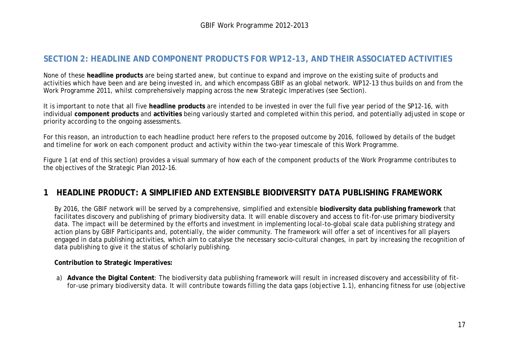## **SECTION 2: HEADLINE AND COMPONENT PRODUCTS FOR WP12-13, AND THEIR ASSOCIATED ACTIVITIES**

None of these **headline products** are being started anew, but continue to expand and improve on the existing suite of products and activities which have been and are being invested in, and which encompass GBIF as an global network. WP12-13 thus builds on and from the Work Programme 2011, whilst comprehensively mapping across the new Strategic Imperatives (see Section).

It is important to note that all five **headline products** are intended to be invested in over the full five year period of the SP12-16, with individual **component products** and **activities** being variously started and completed within this period, and potentially adjusted in scope or priority according to the ongoing assessments.

For this reason, an introduction to each headline product here refers to the proposed outcome by 2016, followed by details of the budget and timeline for work on each component product and activity within the two-year timescale of this Work Programme.

Figure 1 (at end of this section) provides a visual summary of how each of the component products of the Work Programme contributes to the objectives of the Strategic Plan 2012-16.

## **1 HEADLINE PRODUCT: A SIMPLIFIED AND EXTENSIBLE BIODIVERSITY DATA PUBLISHING FRAMEWORK**

By 2016, the GBIF network will be served by a comprehensive, simplified and extensible **biodiversity data publishing framework** that facilitates discovery and publishing of primary biodiversity data. It will enable discovery and access to fit-for-use primary biodiversity data. The impact will be determined by the efforts and investment in implementing local-to-global scale data publishing strategy and action plans by GBIF Participants and, potentially, the wider community. The framework will offer a set of incentives for all players engaged in data publishing activities, which aim to catalyse the necessary socio-cultural changes, in part by increasing the recognition of data publishing to give it the status of scholarly publishing.

#### **Contribution to Strategic Imperatives:**

<span id="page-16-0"></span>a) **Advance the Digital Content**: The biodiversity data publishing framework will result in increased discovery and accessibility of fitfor-use primary biodiversity data. It will contribute towards filling the data gaps (objective 1.1), enhancing fitness for use (objective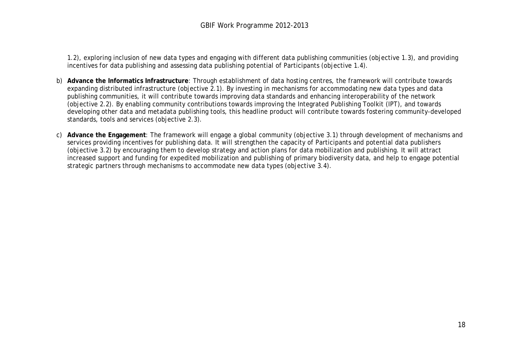1.2), exploring inclusion of new data types and engaging with different data publishing communities (objective 1.3), and providing incentives for data publishing and assessing data publishing potential of Participants (objective 1.4).

- b) **Advance the Informatics Infrastructure**: Through establishment of data hosting centres, the framework will contribute towards expanding distributed infrastructure (objective 2.1). By investing in mechanisms for accommodating new data types and data publishing communities, it will contribute towards improving data standards and enhancing interoperability of the network (objective 2.2). By enabling community contributions towards improving the Integrated Publishing Toolkit (IPT), and towards developing other data and metadata publishing tools, this headline product will contribute towards fostering community-developed standards, tools and services (objective 2.3).
- c) **Advance the Engagement**: The framework will engage a global community (objective 3.1) through development of mechanisms and services providing incentives for publishing data. It will strengthen the capacity of Participants and potential data publishers (objective 3.2) by encouraging them to develop strategy and action plans for data mobilization and publishing. It will attract increased support and funding for expedited mobilization and publishing of primary biodiversity data, and help to engage potential strategic partners through mechanisms to accommodate new data types (objective 3.4).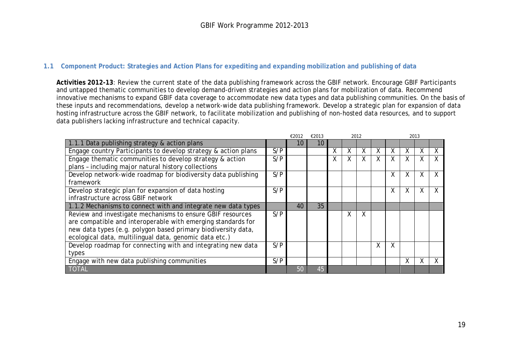#### **1.1 Component Product: Strategies and Action Plans for expediting and expanding mobilization and publishing of data**

**Activities 2012-13**: Review the current state of the data publishing framework across the GBIF network. Encourage GBIF Participants and untapped thematic communities to develop demand-driven strategies and action plans for mobilization of data. Recommend innovative mechanisms to expand GBIF data coverage to accommodate new data types and data publishing communities. On the basis of these inputs and recommendations, develop a network-wide data publishing framework. Develop a strategic plan for expansion of data hosting infrastructure across the GBIF network, to facilitate mobilization and publishing of non-hosted data resources, and to support data publishers lacking infrastructure and technical capacity.

<span id="page-18-0"></span>

|                                                                |     | €2012 | €2013 |   |   | 2012 |   |   | 2013 |   |              |
|----------------------------------------------------------------|-----|-------|-------|---|---|------|---|---|------|---|--------------|
| 1.1.1 Data publishing strategy & action plans                  |     | 10    | 10    |   |   |      |   |   |      |   |              |
| Engage country Participants to develop strategy & action plans | S/P |       |       | Χ | Χ | Χ    | χ | x | X    | X | X            |
| Engage thematic communities to develop strategy & action       | S/P |       |       | χ | Χ | χ    |   |   |      | X | $\mathsf{X}$ |
| plans - including major natural history collections            |     |       |       |   |   |      |   |   |      |   |              |
| Develop network-wide roadmap for biodiversity data publishing  | S/P |       |       |   |   |      |   | X | X.   | X | X            |
| framework                                                      |     |       |       |   |   |      |   |   |      |   |              |
| Develop strategic plan for expansion of data hosting           | S/P |       |       |   |   |      |   | X | X.   | χ | X            |
| infrastructure across GBIF network                             |     |       |       |   |   |      |   |   |      |   |              |
| 1.1.2 Mechanisms to connect with and integrate new data types  |     | 40    | 35    |   |   |      |   |   |      |   |              |
| Review and investigate mechanisms to ensure GBIF resources     | S/P |       |       |   | χ | Χ    |   |   |      |   |              |
| are compatible and interoperable with emerging standards for   |     |       |       |   |   |      |   |   |      |   |              |
| new data types (e.g. polygon based primary biodiversity data,  |     |       |       |   |   |      |   |   |      |   |              |
| ecological data, multilingual data, genomic data etc.)         |     |       |       |   |   |      |   |   |      |   |              |
| Develop roadmap for connecting with and integrating new data   | S/P |       |       |   |   |      | χ | X |      |   |              |
| types                                                          |     |       |       |   |   |      |   |   |      |   |              |
| Engage with new data publishing communities                    | S/P |       |       |   |   |      |   |   | X.   | X | X            |
| <b>TOTAL</b>                                                   |     | 50    | 45    |   |   |      |   |   |      |   |              |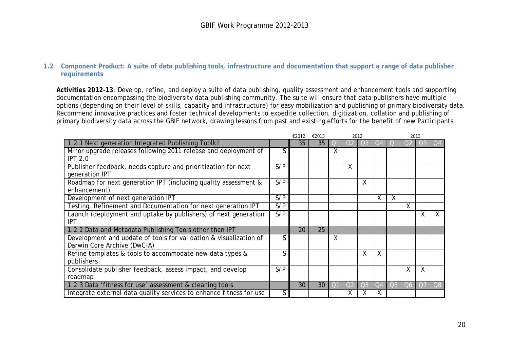#### **1.2 Component Product: A suite of data publishing tools, infrastructure and documentation that support a range of data publisher requirements**

**Activities 2012-13**: Develop, refine, and deploy a suite of data publishing, quality assessment and enhancement tools and supporting documentation encompassing the biodiversity data publishing community. The suite will ensure that data publishers have multiple options (depending on their level of skills, capacity and infrastructure) for easy mobilization and publishing of primary biodiversity data. Recommend innovative practices and foster technical developments to expedite collection, digitization, collation and publishing of primary biodiversity data across the GBIF network, drawing lessons from past and existing efforts for the benefit of new Participants.

<span id="page-19-0"></span>

|                                                                     |     | €2012 | €2013 |              | 2012           |                |              | 2013           |                |                |    |
|---------------------------------------------------------------------|-----|-------|-------|--------------|----------------|----------------|--------------|----------------|----------------|----------------|----|
| 1.2.1 Next generation Integrated Publishing Toolkit                 |     | 35    | 35    | () i         | O <sub>2</sub> | O <sub>3</sub> | Ö4           |                | O <sub>2</sub> | O3             | Q4 |
| Minor upgrade releases following 2011 release and deployment of     | S   |       |       | X            |                |                |              |                |                |                |    |
| <b>IPT 2.0</b>                                                      |     |       |       |              |                |                |              |                |                |                |    |
| Publisher feedback, needs capture and prioritization for next       | S/P |       |       |              | X              |                |              |                |                |                |    |
| generation IPT                                                      |     |       |       |              |                |                |              |                |                |                |    |
| Roadmap for next generation IPT (including quality assessment &     | S/P |       |       |              |                | Χ              |              |                |                |                |    |
| enhancement)                                                        |     |       |       |              |                |                |              |                |                |                |    |
| Development of next generation IPT                                  | S/P |       |       |              |                |                | $\mathsf{X}$ | X              |                |                |    |
| Testing, Refinement and Documentation for next generation IPT       | S/P |       |       |              |                |                |              |                | X              |                |    |
| Launch (deployment and uptake by publishers) of next generation     | S/P |       |       |              |                |                |              |                |                | X              |    |
| IPT                                                                 |     |       |       |              |                |                |              |                |                |                |    |
| 1.2.2 Data and Metadata Publishing Tools other than IPT             |     | 20    | 25    |              |                |                |              |                |                |                |    |
| Development and update of tools for validation & visualization of   | S   |       |       | χ            |                |                |              |                |                |                |    |
| Darwin Core Archive (DwC-A)                                         |     |       |       |              |                |                |              |                |                |                |    |
| Refine templates & tools to accommodate new data types &            | ς   |       |       |              |                | Χ              | X            |                |                |                |    |
| publishers                                                          |     |       |       |              |                |                |              |                |                |                |    |
| Consolidate publisher feedback, assess impact, and develop          | S/P |       |       |              |                |                |              |                | X              | Χ              |    |
| roadmap                                                             |     |       |       |              |                |                |              |                |                |                |    |
| 1.2.3 Data 'fitness for use' assessment & cleaning tools            |     | 30    | 30    | $\bigcirc$ 1 | O <sub>2</sub> | O <sub>3</sub> | Q4           | Q <sub>5</sub> | Q6             | O <sub>7</sub> | Q8 |
| Integrate external data quality services to enhance fitness for use | S   |       |       |              | χ              |                |              |                |                |                |    |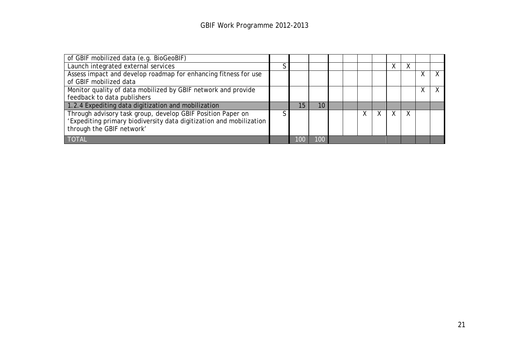| of GBIF mobilized data (e.g. BioGeoBIF)                             |    |    |  |    |  |   |  |
|---------------------------------------------------------------------|----|----|--|----|--|---|--|
| Launch integrated external services                                 |    |    |  |    |  |   |  |
| Assess impact and develop roadmap for enhancing fitness for use     |    |    |  |    |  |   |  |
| of GBIF mobilized data                                              |    |    |  |    |  |   |  |
| Monitor quality of data mobilized by GBIF network and provide       |    |    |  |    |  | Χ |  |
| feedback to data publishers                                         |    |    |  |    |  |   |  |
| 1.2.4 Expediting data digitization and mobilization                 | 15 | 10 |  |    |  |   |  |
| Through advisory task group, develop GBIF Position Paper on         |    |    |  | X. |  |   |  |
| 'Expediting primary biodiversity data digitization and mobilization |    |    |  |    |  |   |  |
| through the GBIF network'                                           |    |    |  |    |  |   |  |
| <b>TOTAL</b>                                                        |    |    |  |    |  |   |  |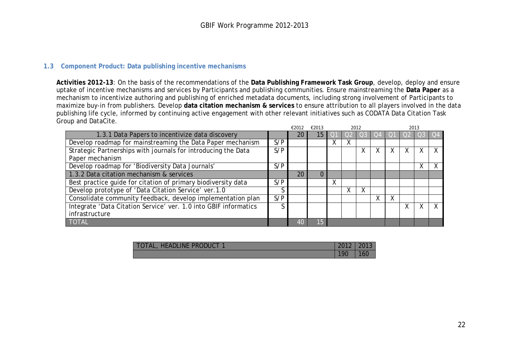#### **1.3 Component Product: Data publishing incentive mechanisms**

**Activities 2012-13**: On the basis of the recommendations of the **Data Publishing Framework Task Group**, develop, deploy and ensure uptake of incentive mechanisms and services by Participants and publishing communities. Ensure mainstreaming the **Data Paper** as a mechanism to incentivize authoring and publishing of enriched metadata documents, including strong involvement of Participants to maximize buy-in from publishers. Develop **data citation mechanism & services** to ensure attribution to all players involved in the data publishing life cycle, informed by continuing active engagement with other relevant initiatives such as CODATA Data Citation Task Group and DataCite.

<span id="page-21-0"></span>

|                                                                  |     | €2012 | €2013 |   |   | 2012 |   |   | 2013 |        |                  |
|------------------------------------------------------------------|-----|-------|-------|---|---|------|---|---|------|--------|------------------|
| 1.3.1 Data Papers to incentivize data discovery                  |     | 20    | 15    |   |   |      |   |   |      |        | $\overline{)$ Q4 |
| Develop roadmap for mainstreaming the Data Paper mechanism       | S/P |       |       | ⋏ | Χ |      |   |   |      |        |                  |
| Strategic Partnerships with journals for introducing the Data    | S/P |       |       |   |   | X    | Χ | x |      | X      |                  |
| Paper mechanism                                                  |     |       |       |   |   |      |   |   |      |        |                  |
| Develop roadmap for 'Biodiversity Data Journals'                 | S/P |       |       |   |   |      |   |   |      | v<br>⋏ | X                |
| 1.3.2 Data citation mechanism & services                         |     | 20    |       |   |   |      |   |   |      |        |                  |
| Best practice guide for citation of primary biodiversity data    | S/P |       |       | Χ |   |      |   |   |      |        |                  |
| Develop prototype of 'Data Citation Service' ver.1.0             |     |       |       |   | Χ | X    |   |   |      |        |                  |
| Consolidate community feedback, develop implementation plan      | S/P |       |       |   |   |      | Χ |   |      |        |                  |
| Integrate 'Data Citation Service' ver. 1.0 into GBIF informatics |     |       |       |   |   |      |   |   |      |        |                  |
| infrastructure                                                   |     |       |       |   |   |      |   |   |      |        |                  |
| <b>TOTAL</b>                                                     |     | 40    | 15    |   |   |      |   |   |      |        |                  |

| TOTAL, HEADLINE PRODUCT 1 | 2012 2013 |     |
|---------------------------|-----------|-----|
|                           | 190       | 160 |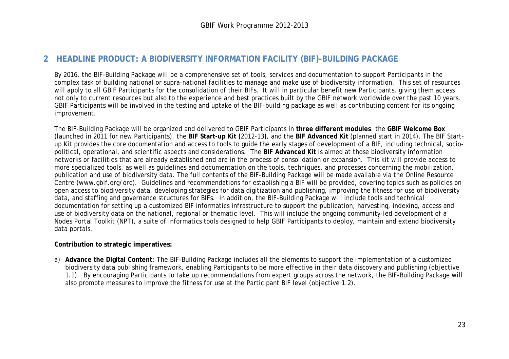# **2 HEADLINE PRODUCT: A BIODIVERSITY INFORMATION FACILITY (BIF)-BUILDING PACKAGE**

By 2016, the BIF-Building Package will be a comprehensive set of tools, services and documentation to support Participants in the complex task of building national or supra-national facilities to manage and make use of biodiversity information. This set of resources will apply to all GBIF Participants for the consolidation of their BIFs. It will in particular benefit new Participants, giving them access not only to current resources but also to the experience and best practices built by the GBIF network worldwide over the past 10 years. GBIF Participants will be involved in the testing and uptake of the BIF-building package as well as contributing content for its ongoing improvement.

The BIF-Building Package will be organized and delivered to GBIF Participants in **three different modules**: the **GBIF Welcome Box** (launched in 2011 for new Participants), the **BIF Start-up Kit (**2012-13**)**, and the **BIF Advanced Kit** (planned start in 2014). The BIF Startup Kit provides the core documentation and access to tools to guide the early stages of development of a BIF, including technical, sociopolitical, operational, and scientific aspects and considerations. The **BIF Advanced Kit** is aimed at those biodiversity information networks or facilities that are already established and are in the process of consolidation or expansion. This kit will provide access to more specialized tools, as well as guidelines and documentation on the tools, techniques, and processes concerning the mobilization, publication and use of biodiversity data. The full contents of the BIF-Building Package will be made available via the Online Resource Centre (www.gbif.org/orc). Guidelines and recommendations for establishing a BIF will be provided, covering topics such as policies on open access to biodiversity data, developing strategies for data digitization and publishing, improving the fitness for use of biodiversity data, and staffing and governance structures for BIFs. In addition, the BIF-Building Package will include tools and technical documentation for setting up a customized BIF informatics infrastructure to support the publication, harvesting, indexing, access and use of biodiversity data on the national, regional or thematic level. This will include the ongoing community-led development of a Nodes Portal Toolkit (NPT), a suite of informatics tools designed to help GBIF Participants to deploy, maintain and extend biodiversity data portals.

#### <span id="page-22-0"></span>**Contribution to strategic imperatives:**

a) **Advance the Digital Content**: The BIF-Building Package includes all the elements to support the implementation of a customized biodiversity data publishing framework, enabling Participants to be more effective in their data discovery and publishing (objective 1.1). By encouraging Participants to take up recommendations from expert groups across the network, the BIF-Building Package will also promote measures to improve the fitness for use at the Participant BIF level (objective 1.2).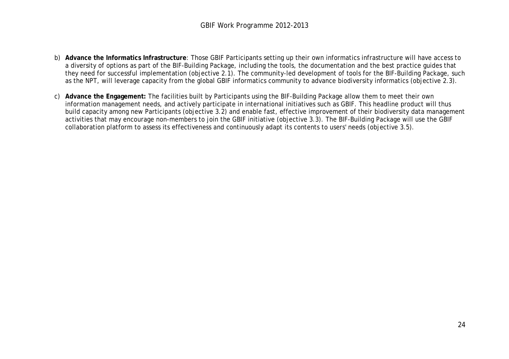- b) **Advance the Informatics Infrastructure**: Those GBIF Participants setting up their own informatics infrastructure will have access to a diversity of options as part of the BIF-Building Package, including the tools, the documentation and the best practice guides that they need for successful implementation (objective 2.1). The community-led development of tools for the BIF-Building Package, such as the NPT, will leverage capacity from the global GBIF informatics community to advance biodiversity informatics (objective 2.3).
- c) **Advance the Engagement:** The facilities built by Participants using the BIF-Building Package allow them to meet their own information management needs, and actively participate in international initiatives such as GBIF. This headline product will thus build capacity among new Participants (objective 3.2) and enable fast, effective improvement of their biodiversity data management activities that may encourage non-members to join the GBIF initiative (objective 3.3). The BIF-Building Package will use the GBIF collaboration platform to assess its effectiveness and continuously adapt its contents to users' needs (objective 3.5).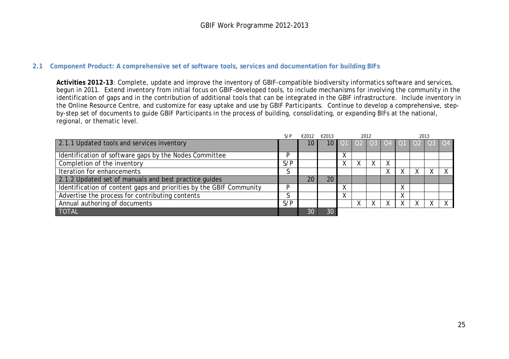#### **2.1 Component Product: A comprehensive set of software tools, services and documentation for building BIFs**

**Activities 2012-13**: Complete, update and improve the inventory of GBIF-compatible biodiversity informatics software and services, begun in 2011. Extend inventory from initial focus on GBIF-developed tools, to include mechanisms for involving the community in the identification of gaps and in the contribution of additional tools that can be integrated in the GBIF infrastructure. Include inventory in the Online Resource Centre, and customize for easy uptake and use by GBIF Participants. Continue to develop a comprehensive, stepby-step set of documents to guide GBIF Participants in the process of building, consolidating, or expanding BIFs at the national, regional, or thematic level.

<span id="page-24-0"></span>

|                                                                     | S/P | €2012 | €2013 |   | 2012 |   |   |                  |  |  |
|---------------------------------------------------------------------|-----|-------|-------|---|------|---|---|------------------|--|--|
| 2.1.1 Updated tools and services inventory                          |     | 10    | 10 I  |   |      |   |   | 0203040102030304 |  |  |
|                                                                     |     |       |       |   |      |   |   |                  |  |  |
| Identification of software gaps by the Nodes Committee              | D   |       |       | Χ |      |   |   |                  |  |  |
| Completion of the inventory                                         | S/P |       |       | Χ |      | х |   |                  |  |  |
| <b>Iteration for enhancements</b>                                   |     |       |       |   |      | v |   |                  |  |  |
| 2.1.2 Updated set of manuals and best practice guides               |     | 20    | 20    |   |      |   |   |                  |  |  |
| Identification of content gaps and priorities by the GBIF Community | D   |       |       |   |      |   |   |                  |  |  |
| Advertise the process for contributing contents                     |     |       |       | Χ |      |   | v |                  |  |  |
| Annual authoring of documents                                       | S/P |       |       |   |      |   |   |                  |  |  |
| <b>TOTAL</b>                                                        |     | 30    | 30    |   |      |   |   |                  |  |  |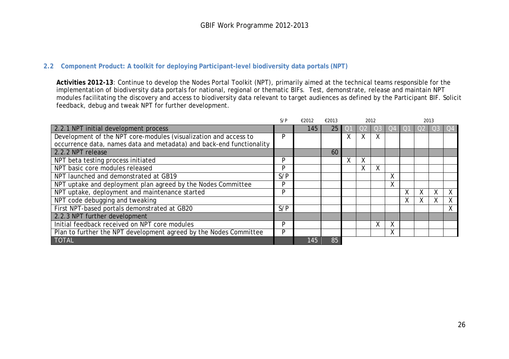#### **2.2 Component Product: A toolkit for deploying Participant-level biodiversity data portals (NPT)**

**Activities 2012-13**: Continue to develop the Nodes Portal Toolkit (NPT), primarily aimed at the technical teams responsible for the implementation of biodiversity data portals for national, regional or thematic BIFs. Test, demonstrate, release and maintain NPT modules facilitating the discovery and access to biodiversity data relevant to target audiences as defined by the Participant BIF. Solicit feedback, debug and tweak NPT for further development.

<span id="page-25-0"></span>

|                                                                      | S/P | €2012 | €2013 |   |   | 2012 |   |   |   | 2013   |   |
|----------------------------------------------------------------------|-----|-------|-------|---|---|------|---|---|---|--------|---|
| 2.2.1 NPT initial development process                                |     | 145   | 25    |   |   |      |   |   |   |        |   |
| Development of the NPT core-modules (visualization and access to     | P   |       |       | ⋏ | X | Χ    |   |   |   |        |   |
| occurrence data, names data and metadata) and back-end functionality |     |       |       |   |   |      |   |   |   |        |   |
| 2.2.2 NPT release                                                    |     |       | 60    |   |   |      |   |   |   |        |   |
| NPT beta testing process initiated                                   | P   |       |       | v | Χ |      |   |   |   |        |   |
| NPT basic core modules released                                      | P   |       |       |   | Χ | Χ    |   |   |   |        |   |
| NPT launched and demonstrated at GB19                                | S/P |       |       |   |   |      | X |   |   |        |   |
| NPT uptake and deployment plan agreed by the Nodes Committee         | P   |       |       |   |   |      | X |   |   |        |   |
| NPT uptake, deployment and maintenance started                       | P   |       |       |   |   |      |   | Χ | v | ν<br>⋏ | χ |
| NPT code debugging and tweaking                                      |     |       |       |   |   |      |   | ⋏ |   |        | Χ |
| First NPT-based portals demonstrated at GB20                         | S/P |       |       |   |   |      |   |   |   |        | χ |
| 2.2.3 NPT further development                                        |     |       |       |   |   |      |   |   |   |        |   |
| Initial feedback received on NPT core modules                        | P   |       |       |   |   | Χ    |   |   |   |        |   |
| Plan to further the NPT development agreed by the Nodes Committee    | Þ   |       |       |   |   |      | ∧ |   |   |        |   |
| <b>TOTAL</b>                                                         |     | 145   | 85    |   |   |      |   |   |   |        |   |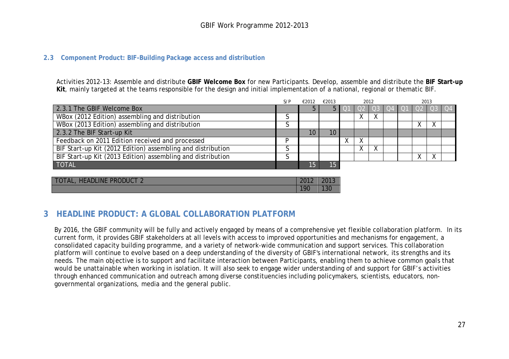#### **2.3 Component Product: BIF-Building Package access and distribution**

Activities 2012-13: Assemble and distribute **GBIF Welcome Box** for new Participants. Develop, assemble and distribute the **BIF Start-up Kit**, mainly targeted at the teams responsible for the design and initial implementation of a national, regional or thematic BIF.

|                                                             | S/P | €2012 | €2013           | 2012 |      |  |  |  |                                   |  |    |
|-------------------------------------------------------------|-----|-------|-----------------|------|------|--|--|--|-----------------------------------|--|----|
| 2.3.1 The GBIF Welcome Box                                  |     |       |                 |      | T OZ |  |  |  | <u>I Q3 I Q4 I Q1 I Q2 I Q3 I</u> |  | Q4 |
| WBox (2012 Edition) assembling and distribution             |     |       |                 |      |      |  |  |  |                                   |  |    |
| WBox (2013 Edition) assembling and distribution             |     |       |                 |      |      |  |  |  |                                   |  |    |
| 2.3.2 The BIF Start-up Kit                                  |     | 10    | 10 <sup>°</sup> |      |      |  |  |  |                                   |  |    |
| Feedback on 2011 Edition received and processed             |     |       |                 |      |      |  |  |  |                                   |  |    |
| BIF Start-up Kit (2012 Edition) assembling and distribution |     |       |                 |      |      |  |  |  |                                   |  |    |
| BIF Start-up Kit (2013 Edition) assembling and distribution |     |       |                 |      |      |  |  |  |                                   |  |    |
| <b>TOTAL</b>                                                |     | 15    | 15              |      |      |  |  |  |                                   |  |    |
|                                                             |     |       |                 |      |      |  |  |  |                                   |  |    |
|                                                             |     |       |                 |      |      |  |  |  |                                   |  |    |

| TOTAL, HEADLINE PRODUCT 2 | 2012 | 2013 |
|---------------------------|------|------|
|                           | 190  | 13C  |

## <span id="page-26-0"></span>**3 HEADLINE PRODUCT: A GLOBAL COLLABORATION PLATFORM**

<span id="page-26-1"></span>By 2016, the GBIF community will be fully and actively engaged by means of a comprehensive yet flexible collaboration platform. In its current form, it provides GBIF stakeholders at all levels with access to improved opportunities and mechanisms for engagement, a consolidated capacity building programme, and a variety of network-wide communication and support services. This collaboration platform will continue to evolve based on a deep understanding of the diversity of GBIF's international network, its strengths and its needs. The main objective is to support and facilitate interaction between Participants, enabling them to achieve common goals that would be unattainable when working in isolation. It will also seek to engage wider understanding of and support for GBIF's activities through enhanced communication and outreach among diverse constituencies including policymakers, scientists, educators, nongovernmental organizations, media and the general public.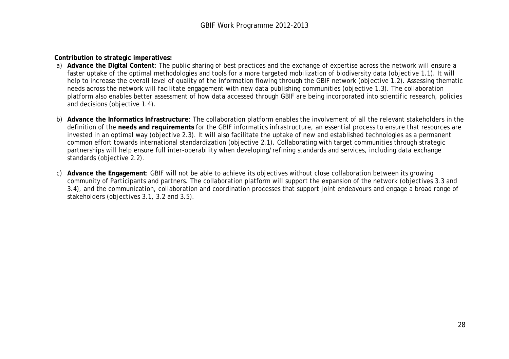**Contribution to strategic imperatives:**

- a) **Advance the Digital Content**: The public sharing of best practices and the exchange of expertise across the network will ensure a faster uptake of the optimal methodologies and tools for a more targeted mobilization of biodiversity data (objective 1.1). It will help to increase the overall level of quality of the information flowing through the GBIF network (objective 1.2). Assessing thematic needs across the network will facilitate engagement with new data publishing communities (objective 1.3). The collaboration platform also enables better assessment of how data accessed through GBIF are being incorporated into scientific research, policies and decisions (objective 1.4).
- b) **Advance the Informatics Infrastructure**: The collaboration platform enables the involvement of all the relevant stakeholders in the definition of the **needs and requirements** for the GBIF informatics infrastructure, an essential process to ensure that resources are invested in an optimal way (objective 2.3). It will also facilitate the uptake of new and established technologies as a permanent common effort towards international standardization (objective 2.1). Collaborating with target communities through strategic partnerships will help ensure full inter-operability when developing/refining standards and services, including data exchange standards (objective 2.2).
- c) **Advance the Engagement**: GBIF will not be able to achieve its objectives without close collaboration between its growing community of Participants and partners. The collaboration platform will support the expansion of the network (objectives 3.3 and 3.4), and the communication, collaboration and coordination processes that support joint endeavours and engage a broad range of stakeholders (objectives 3.1, 3.2 and 3.5).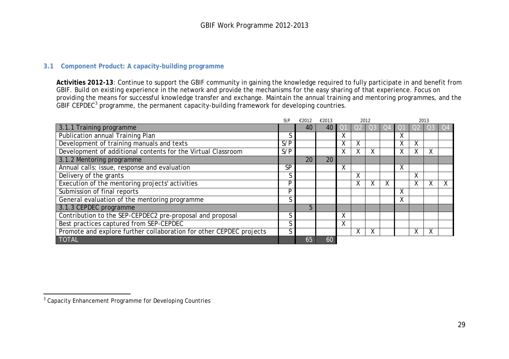#### <span id="page-28-1"></span>**3.1 Component Product: A capacity-building programme**

**Activities 2012-13**: Continue to support the GBIF community in gaining the knowledge required to fully participate in and benefit from GBIF. Build on existing experience in the network and provide the mechanisms for the easy sharing of that experience. Focus on providing the means for successful knowledge transfer and exchange. Maintain the annual training and mentoring programmes, and the  $G$ BIF CEPDEC<sup>[3](#page-28-1)</sup> programme, the permanent capacity-building framework for developing countries.

<span id="page-28-0"></span>

|                                                                     | $S\backslash P$ | €2012 | €2013 |   |        | 2012 |        |   |   |       |
|---------------------------------------------------------------------|-----------------|-------|-------|---|--------|------|--------|---|---|-------|
| 3.1.1 Training programme                                            |                 | 40    | 40    |   |        |      |        |   |   | $Q_4$ |
| Publication annual Training Plan                                    |                 |       |       | χ |        |      |        |   |   |       |
| Development of training manuals and texts                           | S/P             |       |       | Χ | Χ      |      | χ      | χ |   |       |
| Development of additional contents for the Virtual Classroom        | S/P             |       |       | Χ | v<br>v | X.   | Χ      | Χ | χ |       |
| 3.1.2 Mentoring programme                                           |                 | 20    | 20    |   |        |      |        |   |   |       |
| Annual calls: issue, response and evaluation                        | <b>SP</b>       |       |       | X |        |      | v<br>v |   |   |       |
| Delivery of the grants                                              | S               |       |       |   | v<br>∧ |      |        | Χ |   |       |
| Execution of the mentoring projects' activities                     | P               |       |       |   | v<br>v |      |        | Χ |   |       |
| Submission of final reports                                         | P               |       |       |   |        |      | v      |   |   |       |
| General evaluation of the mentoring programme                       | r               |       |       |   |        |      | A      |   |   |       |
| 3.1.3 CEPDEC programme                                              |                 | 5     |       |   |        |      |        |   |   |       |
| Contribution to the SEP-CEPDEC2 pre-proposal and proposal           | S               |       |       | X |        |      |        |   |   |       |
| Best practices captured from SEP-CEPDEC                             | S               |       |       | X |        |      |        |   |   |       |
| Promote and explore further collaboration for other CEPDEC projects | S               |       |       |   | v<br>v |      |        |   | X |       |
| <b>TOTAL</b>                                                        |                 | 65    | 60    |   |        |      |        |   |   |       |

<sup>-</sup> $3$  Capacity Enhancement Programme for Developing Countries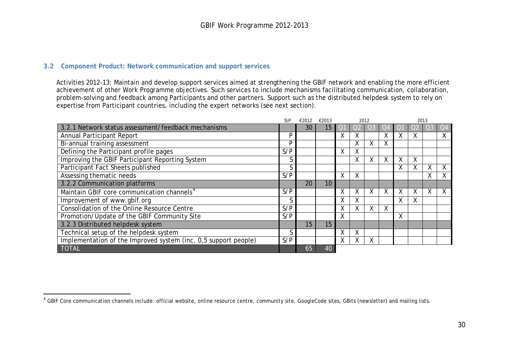#### <span id="page-29-1"></span>**3.2 Component Product: Network communication and support services**

-

Activities 2012-13: Maintain and develop support services aimed at strengthening the GBIF network and enabling the more efficient achievement of other Work Programme objectives. Such services to include mechanisms facilitating communication, collaboration, problem-solving and feedback among Participants and other partners. Support such as the distributed helpdesk system to rely on expertise from Participant countries, including the expert networks (see next section).

<span id="page-29-0"></span>

|                                                                 | $S\$ | €2012 | €2013 |   |           | 2012 |   | 2013   |   |   |              |
|-----------------------------------------------------------------|------|-------|-------|---|-----------|------|---|--------|---|---|--------------|
| 3.2.1 Network status assessment/feedback mechanisms             |      | 30    | 15    |   |           |      |   |        |   |   | $ O4\rangle$ |
| Annual Participant Report                                       | P    |       |       | χ | ^         |      | Χ | v      |   |   | Χ            |
| Bi-annual training assessment                                   | P    |       |       |   | $\lambda$ | v    | Χ |        |   |   |              |
| Defining the Participant profile pages                          | S/P  |       |       | χ | Χ         |      |   |        |   |   |              |
| Improving the GBIF Participant Reporting System                 | S    |       |       |   | ^         | A    | Χ | v<br>v | Χ |   |              |
| Participant Fact Sheets published                               | S    |       |       |   |           |      |   | χ      |   |   |              |
| Assessing thematic needs                                        | S/P  |       |       | X | Χ         |      |   |        |   | Λ | χ            |
| 3.2.2 Communication platforms                                   |      | 20    | 10    |   |           |      |   |        |   |   |              |
| Maintain GBIF core communication channels <sup>4</sup>          | S/P  |       |       | Χ | A         | A    | Χ | v      | v | ∧ | Χ            |
| Improvement of www.gbif.org                                     | S    |       |       | χ | ^         |      |   | Χ      | Χ |   |              |
| Consolidation of the Online Resource Centre                     | S/P  |       |       | χ | $\lambda$ | v    | Χ |        |   |   |              |
| Promotion/Update of the GBIF Community Site                     | S/P  |       |       | Χ |           |      |   | Χ      |   |   |              |
| 3.2.3 Distributed helpdesk system                               |      | 15    | 15    |   |           |      |   |        |   |   |              |
| Technical setup of the helpdesk system                          | S    |       |       | χ | Χ         |      |   |        |   |   |              |
| Implementation of the Improved system (inc. 0,5 support people) | S/P  |       |       | χ | A         | v    |   |        |   |   |              |
| <b>TOTAL</b>                                                    |      | 65    | 40    |   |           |      |   |        |   |   |              |

 $^4$  GBIF Core communication channels include: official website, online resource centre, community site, GoogleCode sites, GBits (newsletter) and mailing lists.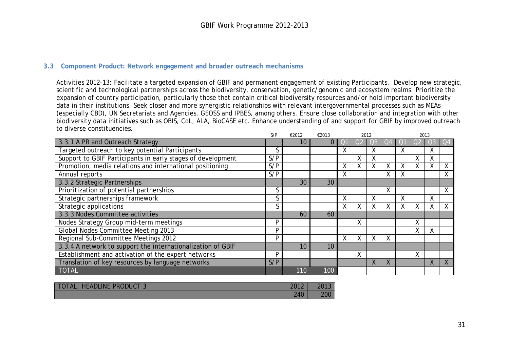#### **3.3 Component Product: Network engagement and broader outreach mechanisms**

Activities 2012-13: Facilitate a targeted expansion of GBIF and permanent engagement of existing Participants. Develop new strategic, scientific and technological partnerships across the biodiversity, conservation, genetic/genomic and ecosystem realms. Prioritize the expansion of country participation, particularly those that contain critical biodiversity resources and/or hold important biodiversity data in their institutions. Seek closer and more synergistic relationships with relevant intergovernmental processes such as MEAs (especially CBD), UN Secretariats and Agencies, GEOSS and IPBES, among others. Ensure close collaboration and integration with other biodiversity data initiatives such as OBIS, CoL, ALA, BioCASE etc. Enhance understanding of and support for GBIF by improved outreach to diverse constituencies.

<span id="page-30-0"></span>

|                                                             | S\P    | €2012 | €2013 |   |                   | 2012         |           | 2013 |    |   |    |
|-------------------------------------------------------------|--------|-------|-------|---|-------------------|--------------|-----------|------|----|---|----|
| 3.3.1 A PR and Outreach Strategy                            |        | 10    | 0     |   |                   |              | JZ        |      |    |   | O4 |
| Targeted outreach to key potential Participants             | $\sim$ |       |       | Χ |                   | Χ            |           | X    |    | Χ |    |
| Support to GBIF Participants in early stages of development | S/P    |       |       |   | $\checkmark$<br>v | χ            |           |      | Λ. | х |    |
| Promotion, media relations and international positioning    | S/P    |       |       | X |                   |              | Χ         | Χ    |    |   | Χ  |
| Annual reports                                              | S/P    |       |       | X |                   |              | Χ         | v.   |    |   |    |
| 3.3.2 Strategic Partnerships                                |        | 30    | 30    |   |                   |              |           |      |    |   |    |
| Prioritization of potential partnerships                    |        |       |       |   |                   |              | X         |      |    |   | Χ  |
| Strategic partnerships framework                            | $\sim$ |       |       | X |                   | $\mathsf{X}$ |           | Χ    |    | X |    |
| <b>Strategic applications</b>                               |        |       |       | χ |                   |              | Χ         | Χ    |    |   |    |
| 3.3.3 Nodes Committee activities                            |        | 60    | 60    |   |                   |              |           |      |    |   |    |
| Nodes Strategy Group mid-term meetings                      | D      |       |       |   | $\checkmark$<br>∧ |              |           |      | Χ  |   |    |
| Global Nodes Committee Meeting 2013                         | D      |       |       |   |                   |              |           |      | Χ  | ᄉ |    |
| Regional Sub-Committee Meetings 2012                        | P      |       |       | X | X                 | X            | X         |      |    |   |    |
| 3.3.4 A network to support the internationalization of GBIF |        | 10    | 10    |   |                   |              |           |      |    |   |    |
| Establishment and activation of the expert networks         | P      |       |       |   | χ                 |              |           |      | Χ  |   |    |
| Translation of key resources by language networks           | S/P    |       |       |   |                   | X.           | $\Lambda$ |      |    |   |    |
| <b>TOTAL</b>                                                |        | 110   | 100   |   |                   |              |           |      |    |   |    |

| <b>HEADLINE</b><br><b>PRODUCT?</b><br>TOTAL, | $\Omega$<br>$\mathbf{L}$ | 2013 |
|----------------------------------------------|--------------------------|------|
|                                              | 240                      | 200  |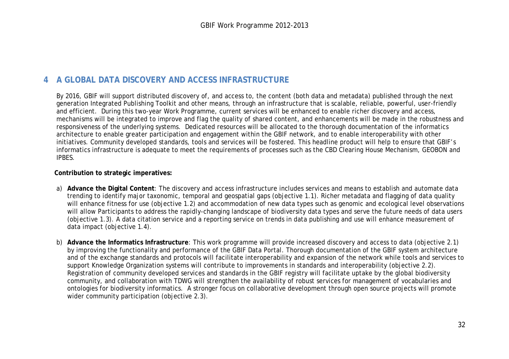# **4 A GLOBAL DATA DISCOVERY AND ACCESS INFRASTRUCTURE**

By 2016, GBIF will support distributed discovery of, and access to, the content (both data and metadata) published through the next generation Integrated Publishing Toolkit and other means, through an infrastructure that is scalable, reliable, powerful, user-friendly and efficient. During this two-year Work Programme, current services will be enhanced to enable richer discovery and access, mechanisms will be integrated to improve and flag the quality of shared content, and enhancements will be made in the robustness and responsiveness of the underlying systems. Dedicated resources will be allocated to the thorough documentation of the informatics architecture to enable greater participation and engagement within the GBIF network, and to enable interoperability with other initiatives. Community developed standards, tools and services will be fostered. This headline product will help to ensure that GBIF's informatics infrastructure is adequate to meet the requirements of processes such as the CBD Clearing House Mechanism, GEOBON and IPBES.

#### **Contribution to strategic imperatives:**

- a) **Advance the Digital Content**: The discovery and access infrastructure includes services and means to establish and automate data trending to identify major taxonomic, temporal and geospatial gaps (objective 1.1). Richer metadata and flagging of data quality will enhance fitness for use (objective 1.2) and accommodation of new data types such as genomic and ecological level observations will allow Participants to address the rapidly-changing landscape of biodiversity data types and serve the future needs of data users (objective 1.3). A data citation service and a reporting service on trends in data publishing and use will enhance measurement of data impact (objective 1.4).
- <span id="page-31-0"></span>b) **Advance the Informatics Infrastructure**: This work programme will provide increased discovery and access to data (objective 2.1) by improving the functionality and performance of the GBIF Data Portal. Thorough documentation of the GBIF system architecture and of the exchange standards and protocols will facilitate interoperability and expansion of the network while tools and services to support Knowledge Organization systems will contribute to improvements in standards and interoperability (objective 2.2). Registration of community developed services and standards in the GBIF registry will facilitate uptake by the global biodiversity community, and collaboration with TDWG will strengthen the availability of robust services for management of vocabularies and ontologies for biodiversity informatics. A stronger focus on collaborative development through open source projects will promote wider community participation (objective 2.3).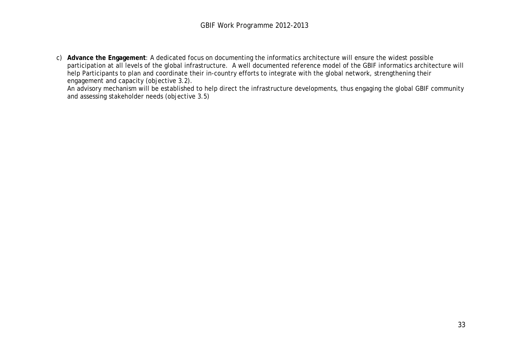c) **Advance the Engagement**: A dedicated focus on documenting the informatics architecture will ensure the widest possible participation at all levels of the global infrastructure. A well documented reference model of the GBIF informatics architecture will help Participants to plan and coordinate their in-country efforts to integrate with the global network, strengthening their engagement and capacity (objective 3.2).

An advisory mechanism will be established to help direct the infrastructure developments, thus engaging the global GBIF community and assessing stakeholder needs (objective 3.5)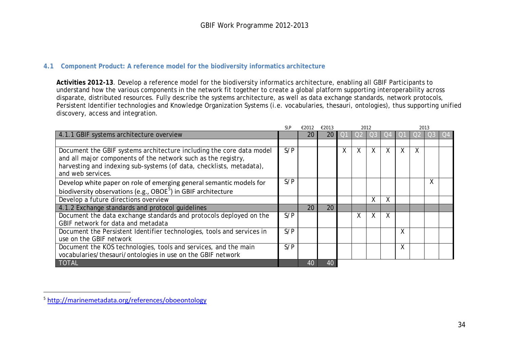#### <span id="page-33-1"></span>**4.1 Component Product: A reference model for the biodiversity informatics architecture**

**Activities 2012-13**. Develop a reference model for the biodiversity informatics architecture, enabling all GBIF Participants to understand how the various components in the network fit together to create a global platform supporting interoperability across disparate, distributed resources. Fully describe the systems architecture, as well as data exchange standards, network protocols, Persistent Identifier technologies and Knowledge Organization Systems (i.e. vocabularies, thesauri, ontologies), thus supporting unified discovery, access and integration.

<span id="page-33-0"></span>

|                                                                           | $S\backslash P$ | €2012 | €2013 |   |   | 2012         |   | 2013 |   |   |  |
|---------------------------------------------------------------------------|-----------------|-------|-------|---|---|--------------|---|------|---|---|--|
| 4.1.1 GBIF systems architecture overview                                  |                 | 20    | 20    |   |   |              |   |      |   |   |  |
|                                                                           |                 |       |       |   |   |              |   |      |   |   |  |
| Document the GBIF systems architecture including the core data model      | S/P             |       |       | X | Χ | $\mathsf{X}$ | X | Χ    | X |   |  |
| and all major components of the network such as the registry,             |                 |       |       |   |   |              |   |      |   |   |  |
| harvesting and indexing sub-systems (of data, checklists, metadata),      |                 |       |       |   |   |              |   |      |   |   |  |
| and web services.                                                         |                 |       |       |   |   |              |   |      |   |   |  |
| Develop white paper on role of emerging general semantic models for       | S/P             |       |       |   |   |              |   |      |   | Χ |  |
| biodiversity observations (e.g., OBOE <sup>5</sup> ) in GBIF architecture |                 |       |       |   |   |              |   |      |   |   |  |
| Develop a future directions overview                                      |                 |       |       |   |   | Χ            | Χ |      |   |   |  |
| 4.1.2 Exchange standards and protocol quidelines                          |                 | 20    | 20    |   |   |              |   |      |   |   |  |
| Document the data exchange standards and protocols deployed on the        | S/P             |       |       |   |   | X            | X |      |   |   |  |
| GBIF network for data and metadata                                        |                 |       |       |   |   |              |   |      |   |   |  |
| Document the Persistent Identifier technologies, tools and services in    | S/P             |       |       |   |   |              |   | Χ    |   |   |  |
| use on the GBIF network                                                   |                 |       |       |   |   |              |   |      |   |   |  |
| Document the KOS technologies, tools and services, and the main           | S/P             |       |       |   |   |              |   | Χ    |   |   |  |
| vocabularies/thesauri/ontologies in use on the GBIF network               |                 |       |       |   |   |              |   |      |   |   |  |
| <b>TOTAL</b>                                                              |                 | 40    | 40    |   |   |              |   |      |   |   |  |

-

<sup>5</sup> <http://marinemetadata.org/references/oboeontology>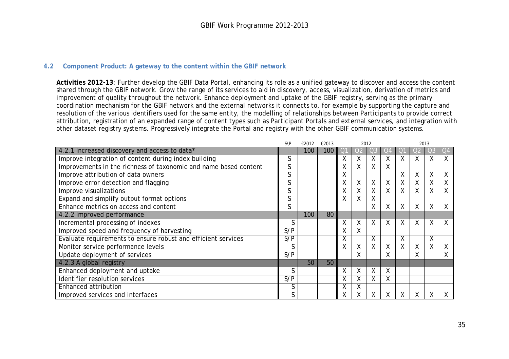#### **4.2 Component Product: A gateway to the content within the GBIF network**

**Activities 2012-13**: Further develop the GBIF Data Portal, enhancing its role as a unified gateway to discover and access the content shared through the GBIF network. Grow the range of its services to aid in discovery, access, visualization, derivation of metrics and improvement of quality throughout the network. Enhance deployment and uptake of the GBIF registry, serving as the primary coordination mechanism for the GBIF network and the external networks it connects to, for example by supporting the capture and resolution of the various identifiers used for the same entity, the modelling of relationships between Participants to provide correct attribution, registration of an expanded range of content types such as Participant Portals and external services, and integration with other dataset registry systems. Progressively integrate the Portal and registry with the other GBIF communication systems.

<span id="page-34-0"></span>

|                                                                  | $S\backslash P$ | €2012 | €2013 |   |        | 2012 |    | 2013 |   |                  |    |
|------------------------------------------------------------------|-----------------|-------|-------|---|--------|------|----|------|---|------------------|----|
| 4.2.1 Increased discovery and access to data*                    |                 | 100   | 100   |   |        |      | JZ |      |   |                  | Q4 |
| Improve integration of content during index building             | S               |       |       | Χ | Χ      | Χ    | χ  | x    |   | Χ                | X  |
| Improvements in the richness of taxonomic and name based content | S               |       |       | X | Λ.     | ж    | Χ  |      |   |                  |    |
| Improve attribution of data owners                               | S               |       |       | χ |        |      |    | X    | ∧ | $\mathbf v$<br>⋏ | Χ  |
| Improve error detection and flagging                             | S               |       |       | Χ | Χ      | X    | Χ  | Χ    |   | Χ                | Χ  |
| Improve visualizations                                           | S               |       |       | Χ | Χ      | χ    | Χ  | Χ    |   | Χ                | X  |
| Expand and simplify output format options                        | S               |       |       | Χ |        | Χ    |    |      |   |                  |    |
| Enhance metrics on access and content                            | S               |       |       |   |        | ⋏    | X  | X    | Χ | $\mathbf v$<br>v | X  |
| 4.2.2 Improved performance                                       |                 | 100   | 80    |   |        |      |    |      |   |                  |    |
| Incremental processing of indexes                                | S               |       |       | Χ | v<br>^ | X    | X  | X    | X | Χ                | X  |
| Improved speed and frequency of harvesting                       | S/P             |       |       | Χ | Χ      |      |    |      |   |                  |    |
| Evaluate requirements to ensure robust and efficient services    | S/P             |       |       | Χ |        | X    |    | X    |   | X                |    |
| Monitor service performance levels                               | S               |       |       | X | Χ      | Χ    | X  | X    | χ | Χ                | X  |
| Update deployment of services                                    | S/P             |       |       |   | Χ      |      | X  |      | Χ |                  | X  |
| 4.2.3 A global registry                                          |                 | 50    | 50    |   |        |      |    |      |   |                  |    |
| Enhanced deployment and uptake                                   | S               |       |       | X | Χ      | ⋏    | X  |      |   |                  |    |
| Identifier resolution services                                   | S/P             |       |       | Χ |        | Χ    | Χ  |      |   |                  |    |
| Enhanced attribution                                             | S               |       |       | χ |        |      |    |      |   |                  |    |
| Improved services and interfaces                                 | S               |       |       | χ |        |      | χ  |      |   | Λ                | X  |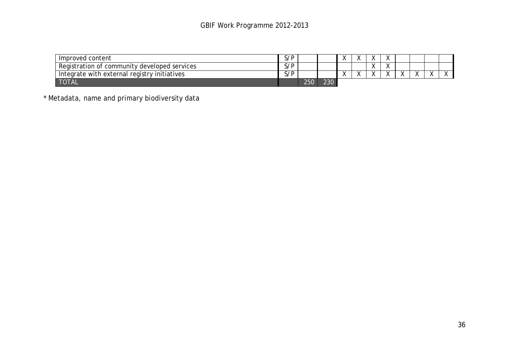| Improved content                             | 5/P |     |     |  | $\sqrt{ }$              |  |  |
|----------------------------------------------|-----|-----|-----|--|-------------------------|--|--|
| Registration of community developed services | S/P |     |     |  | $\lambda$<br>$\sqrt{ }$ |  |  |
| Integrate with external registry initiatives | S/P |     |     |  | $\lambda$<br>$\sqrt{ }$ |  |  |
| <b>TOTAL</b>                                 |     | 250 | 230 |  |                         |  |  |

\* Metadata, name and primary biodiversity data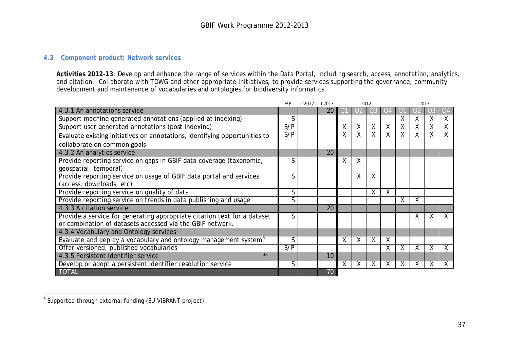#### <span id="page-36-1"></span>**4.3 Component product: Network services**

**Activities 2012-13**: Develop and enhance the range of services within the Data Portal, including search, access, annotation, analytics, and citation. Collaborate with TDWG and other appropriate initiatives, to provide services supporting the governance, community development and maintenance of vocabularies and ontologies for biodiversity informatics.

|                                                                              | $S\$ | €2012 | €2013 |                |                | 2012 |    | 2013    |   |    |              |  |
|------------------------------------------------------------------------------|------|-------|-------|----------------|----------------|------|----|---------|---|----|--------------|--|
| 4.3.1 An annotations service                                                 |      |       | 20    | O <sub>1</sub> | O <sub>2</sub> |      | O4 |         |   | O3 | Q4           |  |
| Support machine generated annotations (applied at indexing)                  | S    |       |       |                |                |      |    |         | X | χ  | X            |  |
| Support user generated annotations (post indexing)                           | S/P  |       |       | Χ              | Χ              | Χ    | Χ  | Χ       | χ | Χ  | X            |  |
| Evaluate existing initiatives on annotations, identifying opportunities to   | S/P  |       |       | Χ              | X              | Χ    | X  | X       | Χ | X  | X            |  |
| collaborate on common goals                                                  |      |       |       |                |                |      |    |         |   |    |              |  |
| 4.3.2 An analytics service                                                   |      |       | 20    |                |                |      |    |         |   |    |              |  |
| Provide reporting service on gaps in GBIF data coverage (taxonomic,          | S    |       |       | X              | X              |      |    |         |   |    |              |  |
| geospatial, temporal)                                                        |      |       |       |                |                |      |    |         |   |    |              |  |
| Provide reporting service on usage of GBIF data portal and services          | S    |       |       |                | Χ              | χ    |    |         |   |    |              |  |
| (access, downloads, etc)                                                     |      |       |       |                |                |      |    |         |   |    |              |  |
| Provide reporting service on quality of data                                 | S    |       |       |                |                | χ    | X  |         |   |    |              |  |
| Provide reporting service on trends in data publishing and usage             | S    |       |       |                |                |      |    | Χ       | X |    |              |  |
| 4.3.3 A citation service                                                     |      |       | 20    |                |                |      |    |         |   |    |              |  |
| Provide a service for generating appropriate citation text for a dataset     | S    |       |       |                |                |      |    |         | X | X  |              |  |
| or combination of datasets accessed via the GBIF network.                    |      |       |       |                |                |      |    |         |   |    |              |  |
| 4.3.4 Vocabulary and Ontology services                                       |      |       |       |                |                |      |    |         |   |    |              |  |
| Evaluate and deploy a vocabulary and ontology management system <sup>6</sup> | S    |       |       | X              | Χ              | Χ    | X  |         |   |    |              |  |
| Offer versioned, published vocabularies                                      | S/P  |       |       |                |                |      | Χ  | Χ       | Χ | X  | X            |  |
| $***$<br>4.3.5 Persistent Identifier service                                 |      |       | 10    |                |                |      |    |         |   |    |              |  |
| Develop or adopt a persistent Identifier resolution service                  | S    |       |       | X              | X              | X    | X  | $\sf X$ | X | Χ  | $\mathsf{X}$ |  |
| <b>TOTAL</b>                                                                 |      |       | 70    |                |                |      |    |         |   |    |              |  |

<span id="page-36-0"></span>-

<sup>&</sup>lt;sup>6</sup> Supported through external funding (EU ViBRANT project)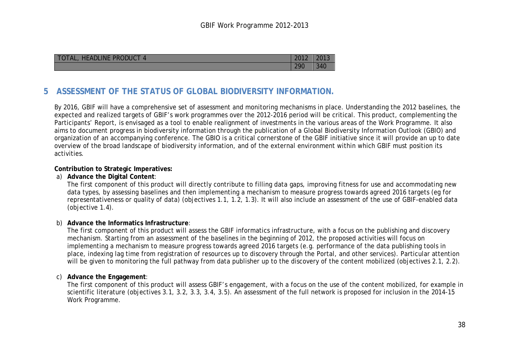| <b>HEADLINE PRODUCT</b><br><b>TOTAL,</b> | 2012 |     |
|------------------------------------------|------|-----|
|                                          | 290  | 340 |

# **5 ASSESSMENT OF THE STATUS OF GLOBAL BIODIVERSITY INFORMATION.**

By 2016, GBIF will have a comprehensive set of assessment and monitoring mechanisms in place. Understanding the 2012 baselines, the expected and realized targets of GBIF's work programmes over the 2012-2016 period will be critical. This product, complementing the Participants' Report, is envisaged as a tool to enable realignment of investments in the various areas of the Work Programme. It also aims to document progress in biodiversity information through the publication of a Global Biodiversity Information Outlook (GBIO) and organization of an accompanying conference. The GBIO is a critical cornerstone of the GBIF initiative since it will provide an up to date overview of the broad landscape of biodiversity information, and of the external environment within which GBIF must position its activities.

#### **Contribution to Strategic Imperatives:**

#### a) **Advance the Digital Content**:

The first component of this product will directly contribute to filling data gaps, improving fitness for use and accommodating new data types, by assessing baselines and then implementing a mechanism to measure progress towards agreed 2016 targets (eg for representativeness or quality of data) (objectives 1.1, 1.2, 1.3). It will also include an assessment of the use of GBIF-enabled data (objective 1.4).

#### <span id="page-37-0"></span>b) **Advance the Informatics Infrastructure**:

The first component of this product will assess the GBIF informatics infrastructure, with a focus on the publishing and discovery mechanism. Starting from an assessment of the baselines in the beginning of 2012, the proposed activities will focus on implementing a mechanism to measure progress towards agreed 2016 targets (e.g. performance of the data publishing tools in place, indexing lag time from registration of resources up to discovery through the Portal, and other services). Particular attention will be given to monitoring the full pathway from data publisher up to the discovery of the content mobilized (objectives 2.1, 2.2).

#### c) **Advance the Engagement**:

The first component of this product will assess GBIF's engagement, with a focus on the use of the content mobilized, for example in scientific literature (objectives 3.1, 3.2, 3.3, 3.4, 3.5). An assessment of the full network is proposed for inclusion in the 2014-15 Work Programme.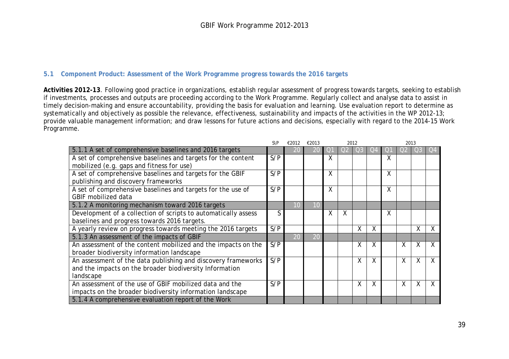#### **5.1 Component Product: Assessment of the Work Programme progress towards the 2016 targets**

**Activities 2012-13**. Following good practice in organizations, establish regular assessment of progress towards targets, seeking to establish if investments, processes and outputs are proceeding according to the Work Programme. Regularly collect and analyse data to assist in timely decision-making and ensure accountability, providing the basis for evaluation and learning. Use evaluation report to determine as systematically and objectively as possible the relevance, effectiveness, sustainability and impacts of the activities in the WP 2012-13; provide valuable management information; and draw lessons for future actions and decisions, especially with regard to the 2014-15 Work Programme.

<span id="page-38-0"></span>

|                                                                | $S\backslash P$ | €2012 | €2013 |            | 2012           |    |    | 2013 |   |              |   |
|----------------------------------------------------------------|-----------------|-------|-------|------------|----------------|----|----|------|---|--------------|---|
| 5.1.1 A set of comprehensive baselines and 2016 targets        |                 |       | 20    | $\bigcirc$ | O <sub>2</sub> | Ο3 | J4 |      |   | O3           |   |
| A set of comprehensive baselines and targets for the content   | S/P             |       |       | χ          |                |    |    | χ    |   |              |   |
| mobilized (e.g. gaps and fitness for use)                      |                 |       |       |            |                |    |    |      |   |              |   |
| A set of comprehensive baselines and targets for the GBIF      | S/P             |       |       | χ          |                |    |    | Χ    |   |              |   |
| publishing and discovery frameworks                            |                 |       |       |            |                |    |    |      |   |              |   |
| A set of comprehensive baselines and targets for the use of    | S/P             |       |       | Χ          |                |    |    | Χ    |   |              |   |
| GBIF mobilized data                                            |                 |       |       |            |                |    |    |      |   |              |   |
| 5.1.2 A monitoring mechanism toward 2016 targets               |                 | 10    | 10    |            |                |    |    |      |   |              |   |
| Development of a collection of scripts to automatically assess | S               |       |       | Χ          | Χ              |    |    | Χ    |   |              |   |
| baselines and progress towards 2016 targets.                   |                 |       |       |            |                |    |    |      |   |              |   |
| A yearly review on progress towards meeting the 2016 targets   | S/P             |       |       |            |                | X  | Χ  |      |   | $\mathsf{X}$ | Χ |
| 5.1.3 An assessment of the impacts of GBIF                     |                 | 20    | 20    |            |                |    |    |      |   |              |   |
| An assessment of the content mobilized and the impacts on the  | S/P             |       |       |            |                | X  | χ  |      | X | X            | X |
| broader biodiversity information landscape                     |                 |       |       |            |                |    |    |      |   |              |   |
| An assessment of the data publishing and discovery frameworks  | S/P             |       |       |            |                | Χ  | X  |      | Χ | X            | X |
| and the impacts on the broader biodiversity Information        |                 |       |       |            |                |    |    |      |   |              |   |
| landscape                                                      |                 |       |       |            |                |    |    |      |   |              |   |
| An assessment of the use of GBIF mobilized data and the        | S/P             |       |       |            |                | Χ  | X  |      | X | X            |   |
| impacts on the broader biodiversity information landscape      |                 |       |       |            |                |    |    |      |   |              |   |
| 5.1.4 A comprehensive evaluation report of the Work            |                 |       |       |            |                |    |    |      |   |              |   |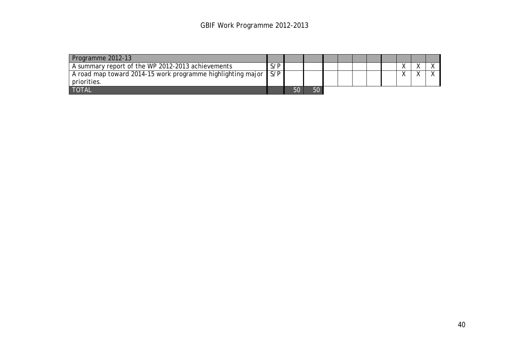| Programme 2012-13                                           |     |    |    |  |  |  |  |
|-------------------------------------------------------------|-----|----|----|--|--|--|--|
| A summary report of the WP 2012-2013 achievements           | S/P |    |    |  |  |  |  |
| A road map toward 2014-15 work programme highlighting major | S/P |    |    |  |  |  |  |
| priorities.                                                 |     |    |    |  |  |  |  |
| <b>TOTAL</b>                                                |     | 50 | 50 |  |  |  |  |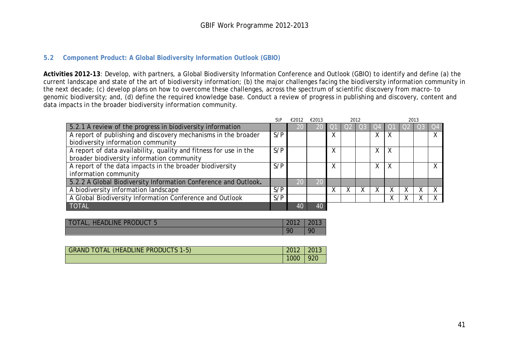#### **5.2 Component Product: A Global Biodiversity Information Outlook (GBIO)**

**Activities 2012-13**: Develop, with partners, a Global Biodiversity Information Conference and Outlook (GBIO) to identify and define (a) the current landscape and state of the art of biodiversity information; (b) the major challenges facing the biodiversity information community in the next decade; (c) develop plans on how to overcome these challenges, across the spectrum of scientific discovery from macro- to genomic biodiversity; and, (d) define the required knowledge base. Conduct a review of progress in publishing and discovery, content and data impacts in the broader biodiversity information community.

|                                                                                                                 | S\P | €2012 | €2013 |   |           | 2012 |    |   | 2013 |  |
|-----------------------------------------------------------------------------------------------------------------|-----|-------|-------|---|-----------|------|----|---|------|--|
| 5.2.1 A review of the progress in biodiversity information                                                      |     |       | 20    |   |           |      |    |   |      |  |
| A report of publishing and discovery mechanisms in the broader<br>biodiversity information community            | S/P |       |       | Χ |           |      | X  | X |      |  |
| A report of data availability, quality and fitness for use in the<br>broader biodiversity information community | S/P |       |       | χ |           |      | X. | X |      |  |
| A report of the data impacts in the broader biodiversity<br>information community                               | S/P |       |       |   |           |      | X. | X |      |  |
| 5.2.2 A Global Biodiversity Information Conference and Outlook.                                                 |     |       | 20    |   |           |      |    |   |      |  |
| A biodiversity information landscape                                                                            | S/P |       |       |   | $\lambda$ |      |    |   |      |  |
| A Global Biodiversity Information Conference and Outlook                                                        | S/P |       |       |   |           |      |    |   |      |  |
| <b>TOTAL</b>                                                                                                    |     | 40    | 40    |   |           |      |    |   |      |  |

<span id="page-40-0"></span>

| <b>HEADLINE PRODUCT 5</b><br><b>TOTAL</b> | 2012 | 2013 |
|-------------------------------------------|------|------|
|                                           | 90   | O    |

| GRAND TOTAL (HEADLINE PRODUCTS 1-5) | $2012$   2013 |     |
|-------------------------------------|---------------|-----|
|                                     | 1000          | 920 |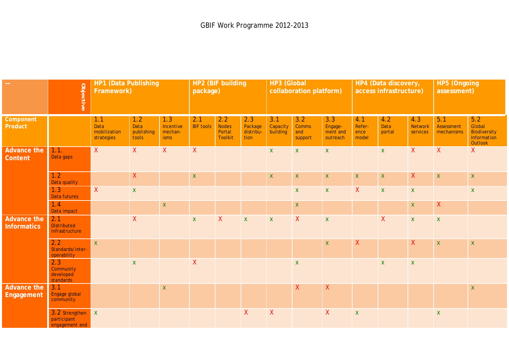|                                          | Objective                                         | HP1 (Data Publishing<br>Framework)        |                                    |                                            | HP2 (BIF building<br>package) |                                                 |                                     | <b>HP3 (Global</b><br>collaboration platform) |                                       |                                        | HP4 (Data discovery,<br>access infrastructure) |                       |                                   | HP5 (Ongoing<br>assessment)     |                                                                |
|------------------------------------------|---------------------------------------------------|-------------------------------------------|------------------------------------|--------------------------------------------|-------------------------------|-------------------------------------------------|-------------------------------------|-----------------------------------------------|---------------------------------------|----------------------------------------|------------------------------------------------|-----------------------|-----------------------------------|---------------------------------|----------------------------------------------------------------|
| Component<br>Product                     |                                                   | 1.1<br>Data<br>mobilization<br>strategies | 1.2<br>Data<br>publishing<br>tools | 1.3<br>Incentive<br>mechan-<br><i>isms</i> | 2.1<br><b>BIF tools</b>       | 2.2<br><b>Nodes</b><br>Portal<br><b>Toolkit</b> | 2.3<br>Package<br>distribu-<br>tion | 3.1<br>Capacity<br>building                   | 3.2<br><b>Comms</b><br>and<br>support | 3.3<br>Engage-<br>ment and<br>outreach | 4.1<br>Refer-<br>ence<br>model                 | 4.2<br>Data<br>portal | 4.3<br><b>Network</b><br>services | 5.1<br>Assessment<br>mechanisms | 5.2<br>Global<br><b>Biodiversity</b><br>Information<br>Outlook |
| <b>Advance the</b><br><b>Content</b>     | 1.1.<br>Data gaps                                 | X                                         | $\mathsf{X}$                       | X                                          | $\mathsf{X}$                  |                                                 |                                     | $\mathsf{X}$                                  | $\mathsf{X}$                          | $\mathsf X$                            |                                                | $\mathsf X$           | X                                 | X                               | X                                                              |
|                                          | 1.2<br>Data quality                               |                                           | $\mathsf{X}$                       |                                            | $\mathsf X$                   |                                                 |                                     | $\mathsf X$                                   | $\mathbf X$                           | $\pmb{\mathsf{X}}$                     | $\pmb{\mathsf{X}}$                             | $\mathsf X$           | $\mathsf{X}$                      | $\mathbf X$                     | $\mathsf X$                                                    |
|                                          | 1.3<br>Data futures                               | $\mathsf{X}$                              | $\mathsf X$                        |                                            |                               |                                                 |                                     |                                               | $\mathsf{X}$                          | $\mathsf X$                            | $\mathsf{X}$                                   | $\mathsf X$           | $\mathsf{X}^-$                    |                                 | $\mathsf{X}$                                                   |
|                                          | 1.4<br>Data impact                                |                                           |                                    | $\pmb{\mathsf{X}}$                         |                               |                                                 |                                     |                                               | $\mathbf X$                           |                                        |                                                |                       | $\mathsf X$                       | $\mathsf{X}$                    |                                                                |
| <b>Advance the</b><br><b>Informatics</b> | 2.1<br><b>Distributed</b><br>infrastructure       |                                           | $\mathsf{X}$                       |                                            | $\mathsf X$                   | $\mathsf{X}$                                    | $\mathsf X$                         | $\mathsf{X}$                                  | $\mathsf{X}$                          | $\pmb{\mathsf{X}}$                     |                                                | $\mathsf{X}$          | $\mathsf X$                       | $\mathsf X$                     |                                                                |
|                                          | $2.2^{\circ}$<br>Standards/inter-<br>operability  | $\mathsf{X}$                              |                                    |                                            |                               |                                                 |                                     |                                               |                                       | $\pmb{\mathsf{X}}$                     | $\boldsymbol{\mathsf{X}}$                      |                       | $\pmb{\mathsf{X}}$                | $\mathsf X$                     | $\mathsf X$                                                    |
|                                          | 2.3<br>Community<br>developed<br>standards        |                                           | $\mathsf X$                        |                                            | $\pmb{\mathsf{X}}$            |                                                 |                                     |                                               | $\mathsf X$                           |                                        |                                                | $\mathsf X$           | $\mathsf X$                       |                                 |                                                                |
| <b>Advance the</b><br>Engagement         | 3.1<br>Engage global<br>community                 |                                           |                                    | $\pmb{\mathsf{X}}$                         |                               |                                                 |                                     |                                               | $\mathsf{X}$                          | $\pmb{\mathsf{X}}$                     |                                                |                       |                                   |                                 | $\boldsymbol{\mathsf{X}}$                                      |
|                                          | 3.2 Strengthen X<br>participant<br>engagement and |                                           |                                    |                                            |                               |                                                 | X                                   | $\mathsf{X}$                                  |                                       | $\mathsf{X}$                           | $\mathbf x$                                    |                       |                                   | $\mathbf{X}$                    |                                                                |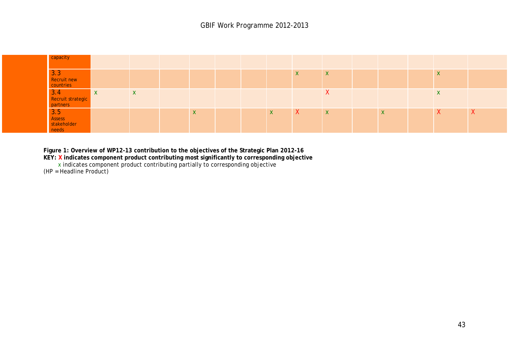

**Figure 1: Overview of WP12-13 contribution to the objectives of the Strategic Plan 2012-16**

**KEY: X indicates component product contributing most significantly to corresponding objective**

x indicates component product contributing partially to corresponding objective

(HP = Headline Product)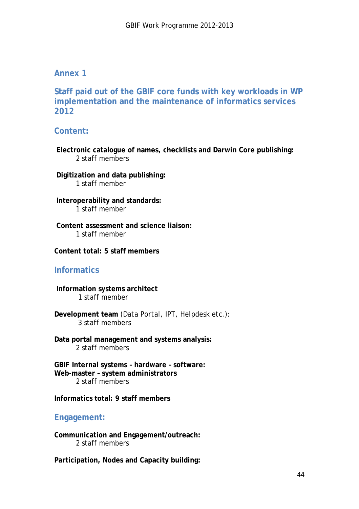## **Annex 1**

**Staff paid out of the GBIF core funds with key workloads in WP implementation and the maintenance of informatics services 2012**

## **Content:**

**Electronic catalogue of names, checklists and Darwin Core publishing:**  2 staff members

**Digitization and data publishing:** 1 staff member

**Interoperability and standards:**  1 staff member

**Content assessment and science liaison:** 1 staff member

**Content total: 5 staff members**

## **Informatics**

**Information systems architect** 1 staff member

**Development team** *(Data Portal, IPT, Helpdesk etc.):* 3 staff members

**Data portal management and systems analysis:** 2 staff members

**GBIF Internal systems – hardware – software: Web-master – system administrators** 2 staff members

**Informatics total: 9 staff members**

## **Engagement:**

**Communication and Engagement/outreach:** 2 staff members

**Participation, Nodes and Capacity building:**